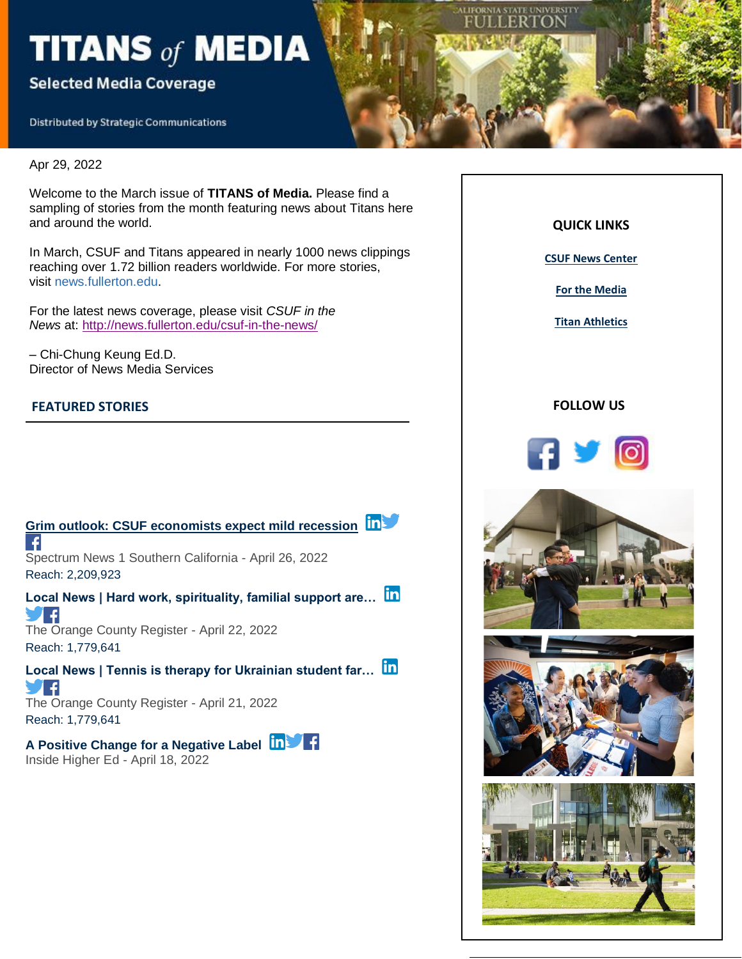# TITANS of MEDIA

## **Selected Media Coverage**

**Distributed by Strategic Communications** 

Apr 29, 2022

Welcome to the March issue of **TITANS of Media.** Please find a sampling of stories from the month featuring news about Titans here and around the world.

In March, CSUF and Titans appeared in nearly 1000 news clippings reaching over 1.72 billion readers worldwide. For more stories, visit news.fullerton.edu.

For the latest news coverage, please visit *CSUF in the News* at: [http://news.fullerton.edu/csuf-in-the-news/](https://nam10.safelinks.protection.outlook.com/?url=https%3A%2F%2Furldefense.com%2Fv3%2F__http%3A%2F%2Flink.newsletter.meltwater.com%2Fls%2Fclick%3Fupn%3Dr55B7hZ6gkaxjSNt9aQtyAYyKokcYLCdqxq7u3ZR4ebd9eIg-2FILSYEfmkeynvOD5q8JHLE4XfnW4x-2F9-2BCJi1eA-3D-3DxHPV_Wh6BDl16n0fHjlayjQFSbAyN9BaaS8WQmQ7p4WTL82xcA4-2BS0NAl4PQmSDXmk2aymyvIQQMCsOBUCse6uKyp56MGSdiU7-2FrXGCFTKHCa-2FRTeww9XPjh-2B7E-2FpWW-2BaP9VXwoi0h7GUJNZoXQp5tncvPlw1J07YicIVdkLyNxa9RAfM0n4GJSU5n73S1McTHnwGv8EHuRSS24iDbJtY-2FXZDkY6jb3nmvjGbHlprYLLNgdA8nUZ0H5pIUQa0Bykgc-2BPt5XXms7AEEmwnPCcxxHzrLeAAdHZGA02uScD2zYWhHNVqkWZy0mtqTuYLnyb65dr2MCM3UTlIKiBI-2FgwENYn60p7NDMsR0Wvbd8-2BazaRyETjjCOLBCy5BOfUGE0YL47zTej4xQIcoZ7Hj9XcgoyTrJQ-3D-3D__%3B!!GF3VTAzAMGBM8A!mDA79KmSe6TCmWS7qU-CgU_x_DbHXa5rKAvJEp0xl697dVK3A4oVkBdu9GrSqRONCf4%24&data=04%7C01%7Ckatiekenn33%40csu.fullerton.edu%7C26bf455bcf2f4c35d0b408da15c0cf8b%7C82c0b871335f4b5c9ed0a4a23565a79b%7C0%7C0%7C637846215125274754%7CUnknown%7CTWFpbGZsb3d8eyJWIjoiMC4wLjAwMDAiLCJQIjoiV2luMzIiLCJBTiI6Ik1haWwiLCJXVCI6Mn0%3D%7C3000&sdata=0MXO2q84sST2NT%2FlV1bwWSzINSbahBQWQc5FFJXdeWg%3D&reserved=0)

– Chi-Chung Keung Ed.D. Director of News Media Services

#### **FEATURED STORIES**



Inside Higher Ed - April 18, 2022



**FORNIA STATE UNIVERSITY** LERIO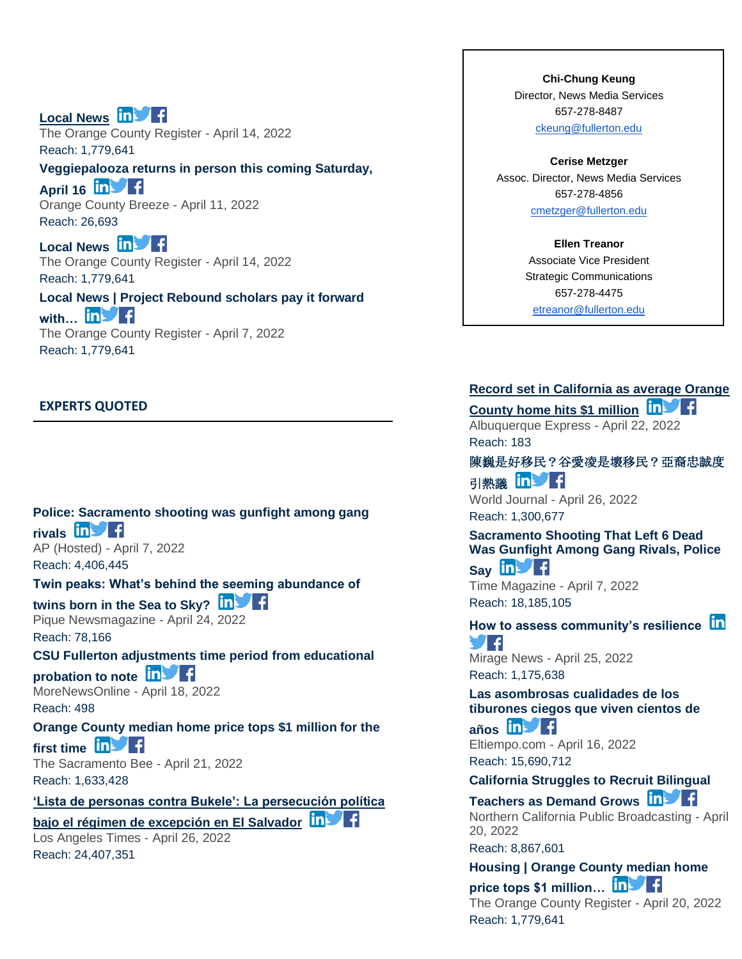**[Local News](https://app.meltwater.com/mwTransition/?url=https%3A%2F%2Fwww.ocregister.com%2F2022%2F04%2F14%2Ftitan-capital-management-team-notches-3rd-straight-win-in-financial-analyst-competition%2F&uId=56799af389db0b74099dc16f&cId=5542641db933d37e9596dc54&dId=X_HmTWVtJ6mp3_Y9A6jDUdixpW0&contextId=624ce4d4416c2a0013c6c00f&op=open&sentiment=P&isHosted=false&publishTime=1649951289000&id=&name=&type=&transitionToken=eyJ0eXAiOiJKV1QiLCJhbGciOiJIUzUxMiJ9.eyJob3N0bmFtZSI6Ind3dy5vY3JlZ2lzdGVyLmNvbSJ9.y_7oUPeo-od2rN21pgqRNiBnDNqzhgKcSu2o9V6JTUrEHivAY1lg6kijTp_ZXee0fM7D3yIO_doLiJfE-DH-og&s=mail-newsletter) in Fig.** The Orange County Register - April 14, 2022 Reach: 1,779,641 **[Veggiepalooza returns in person this coming Saturday,](https://app.meltwater.com/mwTransition/?url=https%3A%2F%2Fwww.oc-breeze.com%2F2022%2F04%2F11%2F211606_veggiepalooza-returns-in-person-this-coming-saturday-april-16%2F&uId=56799af389db0b74099dc16f&cId=5542641db933d37e9596dc54&dId=0YTz8coOofgA17300n7Kfwk-y0M&contextId=624ce4d4416c2a0013c6c00f&op=open&sentiment=P&isHosted=false&publishTime=1649692915000&id=&name=&type=&transitionToken=eyJ0eXAiOiJKV1QiLCJhbGciOiJIUzUxMiJ9.eyJob3N0bmFtZSI6Ind3dy5vYy1icmVlemUuY29tIn0.L5n0a7wGkCIbsS7HPBoOVay31p2l9MuaZC_U2GDzmBjcRRbddCpc3Y1v0LUmC_u5Pc0B1_tVUjBagDa-_XCQzQ&s=mail-newsletter)** 

**[April 16](https://app.meltwater.com/mwTransition/?url=https%3A%2F%2Fwww.oc-breeze.com%2F2022%2F04%2F11%2F211606_veggiepalooza-returns-in-person-this-coming-saturday-april-16%2F&uId=56799af389db0b74099dc16f&cId=5542641db933d37e9596dc54&dId=0YTz8coOofgA17300n7Kfwk-y0M&contextId=624ce4d4416c2a0013c6c00f&op=open&sentiment=P&isHosted=false&publishTime=1649692915000&id=&name=&type=&transitionToken=eyJ0eXAiOiJKV1QiLCJhbGciOiJIUzUxMiJ9.eyJob3N0bmFtZSI6Ind3dy5vYy1icmVlemUuY29tIn0.L5n0a7wGkCIbsS7HPBoOVay31p2l9MuaZC_U2GDzmBjcRRbddCpc3Y1v0LUmC_u5Pc0B1_tVUjBagDa-_XCQzQ&s=mail-newsletter) In Fig.** Orange County Breeze - April 11, 2022 Reach: 26,693

[Local News](https://app.meltwater.com/mwTransition/?url=https%3A%2F%2Fwww.ocregister.com%2F2022%2F04%2F14%2Farmy-special-ops-black-daggers-descend-over-cal-state-fullerton%2F&uId=56799af389db0b74099dc16f&cId=5542641db933d37e9596dc54&dId=UTJsPy4bKKtZIOZG-sBpVA_-62E&contextId=624ce4d4416c2a0013c6c00f&op=open&sentiment=N&isHosted=false&publishTime=1649982454000&id=&name=&type=&transitionToken=eyJ0eXAiOiJKV1QiLCJhbGciOiJIUzUxMiJ9.eyJob3N0bmFtZSI6Ind3dy5vY3JlZ2lzdGVyLmNvbSJ9.y_7oUPeo-od2rN21pgqRNiBnDNqzhgKcSu2o9V6JTUrEHivAY1lg6kijTp_ZXee0fM7D3yIO_doLiJfE-DH-og&s=mail-newsletter) **in f** The Orange County Register - April 14, 2022 Reach: 1,779,641

**[Local News | Project Rebound scholars pay it forward](https://app.meltwater.com/mwTransition/?url=https%3A%2F%2Fwww.ocregister.com%2F2022%2F04%2F07%2Fproject-rebound-scholars-pay-it-forward-with-new-program-aimed-to-help-juvenile-offenders%2F&uId=56799af389db0b74099dc16f&cId=5542641db933d37e9596dc54&dId=_czJig49rRA56Or3-bjUIw2naXI&contextId=624ce4d4416c2a0013c6c00f&op=open&sentiment=N&isHosted=false&publishTime=1649344940000&id=&name=&type=&transitionToken=eyJ0eXAiOiJKV1QiLCJhbGciOiJIUzUxMiJ9.eyJob3N0bmFtZSI6Ind3dy5vY3JlZ2lzdGVyLmNvbSJ9.y_7oUPeo-od2rN21pgqRNiBnDNqzhgKcSu2o9V6JTUrEHivAY1lg6kijTp_ZXee0fM7D3yIO_doLiJfE-DH-og&s=mail-newsletter)**  [with…](https://app.meltwater.com/mwTransition/?url=https%3A%2F%2Fwww.ocregister.com%2F2022%2F04%2F07%2Fproject-rebound-scholars-pay-it-forward-with-new-program-aimed-to-help-juvenile-offenders%2F&uId=56799af389db0b74099dc16f&cId=5542641db933d37e9596dc54&dId=_czJig49rRA56Or3-bjUIw2naXI&contextId=624ce4d4416c2a0013c6c00f&op=open&sentiment=N&isHosted=false&publishTime=1649344940000&id=&name=&type=&transitionToken=eyJ0eXAiOiJKV1QiLCJhbGciOiJIUzUxMiJ9.eyJob3N0bmFtZSI6Ind3dy5vY3JlZ2lzdGVyLmNvbSJ9.y_7oUPeo-od2rN21pgqRNiBnDNqzhgKcSu2o9V6JTUrEHivAY1lg6kijTp_ZXee0fM7D3yIO_doLiJfE-DH-og&s=mail-newsletter) **in Fi** The Orange County Register - April 7, 2022 Reach: 1,779,641

#### **EXPERTS QUOTED**

**[Police: Sacramento shooting was gunfight among gang](https://app.meltwater.com/newsletter/5c6df57cd9a59d6a6617c7d7/inbox/open/documents/Yv1rTXAqm-WYmyY-YrG9G0RVI-c?type=search&agents=&tags=Feature,Experts%20Quoted,Alumni,In%20The%20News,In%20Case%20You%20Missed%20It!&dId=Yv1rTXAqm-WYmyY-YrG9G0RVI-c&publishTime=1649348494000&s=mail-newsletter)**  [rivals](https://app.meltwater.com/newsletter/5c6df57cd9a59d6a6617c7d7/inbox/open/documents/Yv1rTXAqm-WYmyY-YrG9G0RVI-c?type=search&agents=&tags=Feature,Experts%20Quoted,Alumni,In%20The%20News,In%20Case%20You%20Missed%20It!&dId=Yv1rTXAqm-WYmyY-YrG9G0RVI-c&publishTime=1649348494000&s=mail-newsletter) **in Fi** AP (Hosted) - April 7, 2022

Reach: 4,406,445

#### **[Twin peaks: What's behind the seeming abundance of](https://app.meltwater.com/mwTransition/?url=https%3A%2F%2Fwww.piquenewsmagazine.com%2Fcover-stories%2Ftwin-peaks-whats-behind-the-seeming-abundance-of-twins-born-in-the-sea-to-sky-5283945&uId=56799af389db0b74099dc16f&cId=5542641db933d37e9596dc54&dId=VvMTrMtjgVRBoGmzGOOtx-VYQuc&contextId=624ce4d4416c2a0013c6c00f&op=open&sentiment=N&isHosted=false&publishTime=1650787200000&id=&name=&type=&transitionToken=eyJ0eXAiOiJKV1QiLCJhbGciOiJIUzUxMiJ9.eyJob3N0bmFtZSI6Ind3dy5waXF1ZW5ld3NtYWdhemluZS5jb20ifQ.yoVjdYFbRM8tLDfHCGnvV06gOaqfabx1KXJfoFf-h7Tv2JjKtgRHtmutQMxOiXeqQfXNGKgfR7OmPQHJ6cuRsg&s=mail-newsletter)**

**[twins born in the Sea to Sky?](https://app.meltwater.com/mwTransition/?url=https%3A%2F%2Fwww.piquenewsmagazine.com%2Fcover-stories%2Ftwin-peaks-whats-behind-the-seeming-abundance-of-twins-born-in-the-sea-to-sky-5283945&uId=56799af389db0b74099dc16f&cId=5542641db933d37e9596dc54&dId=VvMTrMtjgVRBoGmzGOOtx-VYQuc&contextId=624ce4d4416c2a0013c6c00f&op=open&sentiment=N&isHosted=false&publishTime=1650787200000&id=&name=&type=&transitionToken=eyJ0eXAiOiJKV1QiLCJhbGciOiJIUzUxMiJ9.eyJob3N0bmFtZSI6Ind3dy5waXF1ZW5ld3NtYWdhemluZS5jb20ifQ.yoVjdYFbRM8tLDfHCGnvV06gOaqfabx1KXJfoFf-h7Tv2JjKtgRHtmutQMxOiXeqQfXNGKgfR7OmPQHJ6cuRsg&s=mail-newsletter)**

Pique Newsmagazine - April 24, 2022 Reach: 78,166

**[CSU Fullerton adjustments time period from educational](https://app.meltwater.com/mwTransition/?url=https%3A%2F%2Fmorenewsonline.com%2Fcsu-fullerton-adjustments-time-period-from-educational-probation-to-note%2F&uId=56799af389db0b74099dc16f&cId=5542641db933d37e9596dc54&dId=MSRmyjWt30oD2Gqf40nAfmPNXyM&contextId=624ce4d4416c2a0013c6c00f&op=open&sentiment=N&isHosted=false&publishTime=1650268500000&id=&name=&type=&transitionToken=eyJ0eXAiOiJKV1QiLCJhbGciOiJIUzUxMiJ9.eyJob3N0bmFtZSI6Im1vcmVuZXdzb25saW5lLmNvbSJ9.eaICdH6IfqSKobG00-5AKs2ejnqpPOdZSK16Ytvhtrgg0h-DHYyXsGXzaKUDkuNOld1G3NkgaYdAs12x0iZpyw&s=mail-newsletter)** 

**[probation to note](https://app.meltwater.com/mwTransition/?url=https%3A%2F%2Fmorenewsonline.com%2Fcsu-fullerton-adjustments-time-period-from-educational-probation-to-note%2F&uId=56799af389db0b74099dc16f&cId=5542641db933d37e9596dc54&dId=MSRmyjWt30oD2Gqf40nAfmPNXyM&contextId=624ce4d4416c2a0013c6c00f&op=open&sentiment=N&isHosted=false&publishTime=1650268500000&id=&name=&type=&transitionToken=eyJ0eXAiOiJKV1QiLCJhbGciOiJIUzUxMiJ9.eyJob3N0bmFtZSI6Im1vcmVuZXdzb25saW5lLmNvbSJ9.eaICdH6IfqSKobG00-5AKs2ejnqpPOdZSK16Ytvhtrgg0h-DHYyXsGXzaKUDkuNOld1G3NkgaYdAs12x0iZpyw&s=mail-newsletter)** MoreNewsOnline - April 18, 2022

Reach: 498

**[Orange County median home price tops \\$1 million for the](https://app.meltwater.com/mwTransition/?url=https%3A%2F%2Fwww.sacbee.com%2Fnews%2Fbusiness%2Farticle260618687.html&uId=56799af389db0b74099dc16f&cId=5542641db933d37e9596dc54&dId=Nl2WMOJ5ubOcVWp7crLTDJTQyTg&contextId=624ce4d4416c2a0013c6c00f&op=open&sentiment=P&isHosted=false&publishTime=1650529200000&id=&name=&type=&transitionToken=eyJ0eXAiOiJKV1QiLCJhbGciOiJIUzUxMiJ9.eyJob3N0bmFtZSI6Ind3dy5zYWNiZWUuY29tIn0.-1jRDgFQzZBCNtmkr9zBmybJi4V7vs2wb3ilJ3IW8sTe1qFCF1-o_IwCP1NA6BDfOIjb_tYAoHN1Vjs7Vosf2w&s=mail-newsletter)**  [first time](https://app.meltwater.com/mwTransition/?url=https%3A%2F%2Fwww.sacbee.com%2Fnews%2Fbusiness%2Farticle260618687.html&uId=56799af389db0b74099dc16f&cId=5542641db933d37e9596dc54&dId=Nl2WMOJ5ubOcVWp7crLTDJTQyTg&contextId=624ce4d4416c2a0013c6c00f&op=open&sentiment=P&isHosted=false&publishTime=1650529200000&id=&name=&type=&transitionToken=eyJ0eXAiOiJKV1QiLCJhbGciOiJIUzUxMiJ9.eyJob3N0bmFtZSI6Ind3dy5zYWNiZWUuY29tIn0.-1jRDgFQzZBCNtmkr9zBmybJi4V7vs2wb3ilJ3IW8sTe1qFCF1-o_IwCP1NA6BDfOIjb_tYAoHN1Vjs7Vosf2w&s=mail-newsletter) **in Fig.** 

The Sacramento Bee - April 21, 2022 Reach: 1,633,428

#### **['Lista de personas contra Bukele': La persecución política](https://app.meltwater.com/mwTransition/?url=https%3A%2F%2Fwww.latimes.com%2Fespanol%2Fcalifornia%2Farticulo%2F2022-04-27%2Flista-de-personas-contra-bukele-la-persecucion-politica-bajo-el-regimen-de-excepcion-en-el-salvador&uId=56799af389db0b74099dc16f&cId=5542641db933d37e9596dc54&dId=mpY2DeeV0lyBxkELKQhkga5_y4w&contextId=624ce4d4416c2a0013c6c00f&op=open&sentiment=V&isHosted=false&publishTime=1651033608000&id=&name=&type=&transitionToken=eyJ0eXAiOiJKV1QiLCJhbGciOiJIUzUxMiJ9.eyJob3N0bmFtZSI6Ind3dy5sYXRpbWVzLmNvbSJ9.pyU9VQMKvh5vZJlebfeP6pSkeijFL-KKskx5nXRDHca408jlHn00LoA08Eo_6bPa_m9fGDadZ6Ugn5rodQOyDg&s=mail-newsletter)**

**[bajo el régimen de excepción en El Salvador](https://app.meltwater.com/mwTransition/?url=https%3A%2F%2Fwww.latimes.com%2Fespanol%2Fcalifornia%2Farticulo%2F2022-04-27%2Flista-de-personas-contra-bukele-la-persecucion-politica-bajo-el-regimen-de-excepcion-en-el-salvador&uId=56799af389db0b74099dc16f&cId=5542641db933d37e9596dc54&dId=mpY2DeeV0lyBxkELKQhkga5_y4w&contextId=624ce4d4416c2a0013c6c00f&op=open&sentiment=V&isHosted=false&publishTime=1651033608000&id=&name=&type=&transitionToken=eyJ0eXAiOiJKV1QiLCJhbGciOiJIUzUxMiJ9.eyJob3N0bmFtZSI6Ind3dy5sYXRpbWVzLmNvbSJ9.pyU9VQMKvh5vZJlebfeP6pSkeijFL-KKskx5nXRDHca408jlHn00LoA08Eo_6bPa_m9fGDadZ6Ugn5rodQOyDg&s=mail-newsletter)**

Los Angeles Times - April 26, 2022 Reach: 24,407,351

**Chi-Chung Keung** Director, News Media Services 657-278-8487 [ckeung@fullerton.edu](mailto:ckeung@fullerton.edu)

**Cerise Metzger** Assoc. Director, News Media Services 657-278-4856 [cmetzger@fullerton.edu](mailto:cmetzger@fullerton.edu)

> **Ellen Treanor** Associate Vice President Strategic Communications 657-278-4475 [etreanor@fullerton.edu](mailto:etreanor@fullerton.edu)

#### **[Record set in California as average Orange](https://app.meltwater.com/mwTransition/?url=https%3A%2F%2Fwww.albuquerqueexpress.com%2Fnews%2F272508642%2Frecord-set-in-california-as-average-orange-county-home-hits-1-million&uId=56799af389db0b74099dc16f&cId=5542641db933d37e9596dc54&dId=eYeQ2jzRi_DTq6l-1wgjCxTrYuc&contextId=624ce4d4416c2a0013c6c00f&op=open&sentiment=N&isHosted=false&publishTime=1650690147720&id=&name=&type=&transitionToken=eyJ0eXAiOiJKV1QiLCJhbGciOiJIUzUxMiJ9.eyJob3N0bmFtZSI6Ind3dy5hbGJ1cXVlcnF1ZWV4cHJlc3MuY29tIn0.tN-VDE8QjRRH_iqGqKjD5AXMXj7hDMOo3PVaglk0mnTLErvaFds6ocrm_R9XWtm5Pm9tcxJmKdB09bgO4iUsJw&s=mail-newsletter)**

**[County home hits \\$1 million](https://app.meltwater.com/mwTransition/?url=https%3A%2F%2Fwww.albuquerqueexpress.com%2Fnews%2F272508642%2Frecord-set-in-california-as-average-orange-county-home-hits-1-million&uId=56799af389db0b74099dc16f&cId=5542641db933d37e9596dc54&dId=eYeQ2jzRi_DTq6l-1wgjCxTrYuc&contextId=624ce4d4416c2a0013c6c00f&op=open&sentiment=N&isHosted=false&publishTime=1650690147720&id=&name=&type=&transitionToken=eyJ0eXAiOiJKV1QiLCJhbGciOiJIUzUxMiJ9.eyJob3N0bmFtZSI6Ind3dy5hbGJ1cXVlcnF1ZWV4cHJlc3MuY29tIn0.tN-VDE8QjRRH_iqGqKjD5AXMXj7hDMOo3PVaglk0mnTLErvaFds6ocrm_R9XWtm5Pm9tcxJmKdB09bgO4iUsJw&s=mail-newsletter)** Albuquerque Express - April 22, 2022 Reach: 183

[陳巍是好移民?谷愛凌是壞移民?亞裔忠誠度](https://app.meltwater.com/mwTransition/?url=https%3A%2F%2Fwww.worldjournal.com%2Fwj%2Fstory%2F122753%2F6106877&uId=56799af389db0b74099dc16f&cId=5542641db933d37e9596dc54&dId=AId7QkMdL7uneiR--ilpBLHE4_c&contextId=624ce4d4416c2a0013c6c00f&op=open&sentiment=N&isHosted=false&publishTime=1650957433000&id=&name=&type=&transitionToken=eyJ0eXAiOiJKV1QiLCJhbGciOiJIUzUxMiJ9.eyJob3N0bmFtZSI6Ind3dy53b3JsZGpvdXJuYWwuY29tIn0.5iB49RDbJtnS95TrizDcB2boKag8rKd_epi3Jgj3xxgJvZY_MjOlQzd0rVLj_HSkZew0lkyf08m40dnhDM3u3w&s=mail-newsletter) [引熱議](https://app.meltwater.com/mwTransition/?url=https%3A%2F%2Fwww.worldjournal.com%2Fwj%2Fstory%2F122753%2F6106877&uId=56799af389db0b74099dc16f&cId=5542641db933d37e9596dc54&dId=AId7QkMdL7uneiR--ilpBLHE4_c&contextId=624ce4d4416c2a0013c6c00f&op=open&sentiment=N&isHosted=false&publishTime=1650957433000&id=&name=&type=&transitionToken=eyJ0eXAiOiJKV1QiLCJhbGciOiJIUzUxMiJ9.eyJob3N0bmFtZSI6Ind3dy53b3JsZGpvdXJuYWwuY29tIn0.5iB49RDbJtnS95TrizDcB2boKag8rKd_epi3Jgj3xxgJvZY_MjOlQzd0rVLj_HSkZew0lkyf08m40dnhDM3u3w&s=mail-newsletter) in 1

World Journal - April 26, 2022 Reach: 1,300,677

**[Sacramento Shooting That Left 6 Dead](https://app.meltwater.com/mwTransition/?url=https%3A%2F%2Ftime.com%2F6165071%2Fsacramento-shooting-gangs%2F&uId=56799af389db0b74099dc16f&cId=5542641db933d37e9596dc54&dId=zF0pirladI2f6VkBJ6D8rvqqp1U&contextId=624ce4d4416c2a0013c6c00f&op=open&sentiment=V&isHosted=false&publishTime=1649327160000&id=&name=&type=&transitionToken=eyJ0eXAiOiJKV1QiLCJhbGciOiJIUzUxMiJ9.eyJob3N0bmFtZSI6InRpbWUuY29tIn0.0Hf4_VYh_mXTzeCrTcCfeWhPH9GL3ZQIui_CzwHyJS_3mvZdNemYx-2ggwDGAnpaXiRl5IpVRM8xGxTCYynBhw&s=mail-newsletter)  [Was Gunfight Among Gang Rivals, Police](https://app.meltwater.com/mwTransition/?url=https%3A%2F%2Ftime.com%2F6165071%2Fsacramento-shooting-gangs%2F&uId=56799af389db0b74099dc16f&cId=5542641db933d37e9596dc54&dId=zF0pirladI2f6VkBJ6D8rvqqp1U&contextId=624ce4d4416c2a0013c6c00f&op=open&sentiment=V&isHosted=false&publishTime=1649327160000&id=&name=&type=&transitionToken=eyJ0eXAiOiJKV1QiLCJhbGciOiJIUzUxMiJ9.eyJob3N0bmFtZSI6InRpbWUuY29tIn0.0Hf4_VYh_mXTzeCrTcCfeWhPH9GL3ZQIui_CzwHyJS_3mvZdNemYx-2ggwDGAnpaXiRl5IpVRM8xGxTCYynBhw&s=mail-newsletter)** 

[Say](https://app.meltwater.com/mwTransition/?url=https%3A%2F%2Ftime.com%2F6165071%2Fsacramento-shooting-gangs%2F&uId=56799af389db0b74099dc16f&cId=5542641db933d37e9596dc54&dId=zF0pirladI2f6VkBJ6D8rvqqp1U&contextId=624ce4d4416c2a0013c6c00f&op=open&sentiment=V&isHosted=false&publishTime=1649327160000&id=&name=&type=&transitionToken=eyJ0eXAiOiJKV1QiLCJhbGciOiJIUzUxMiJ9.eyJob3N0bmFtZSI6InRpbWUuY29tIn0.0Hf4_VYh_mXTzeCrTcCfeWhPH9GL3ZQIui_CzwHyJS_3mvZdNemYx-2ggwDGAnpaXiRl5IpVRM8xGxTCYynBhw&s=mail-newsletter) **in F** Time Magazine - April 7, 2022 Reach: 18,185,105

**[How to assess community's resilience](https://app.meltwater.com/mwTransition/?url=https%3A%2F%2Fwww.miragenews.com%2Fhow-to-assess-communitys-resilience-769662%2F&uId=56799af389db0b74099dc16f&cId=5542641db933d37e9596dc54&dId=Ju2pr84ykXgfQw7qTA3iTJPds5w&contextId=624ce4d4416c2a0013c6c00f&op=open&sentiment=N&isHosted=false&publishTime=1650897495000&id=&name=&type=&transitionToken=eyJ0eXAiOiJKV1QiLCJhbGciOiJIUzUxMiJ9.eyJob3N0bmFtZSI6Ind3dy5taXJhZ2VuZXdzLmNvbSJ9.2BkpDuZgwH2fbnpdsagd5Hhwvx7CRFfbo6CMUkgn9jn7IYcXvgnp-tp1eKuVkHrsms9tYRuAZhaNsYf5oXmo8w&s=mail-newsletter)**  $Jf$ Mirage News - April 25, 2022 Reach: 1,175,638

**[Las asombrosas cualidades de los](https://app.meltwater.com/mwTransition/?url=https%3A%2F%2Fwww.eltiempo.com%2Fvida%2Fciencia%2Ftiburones-boreales-tres-cualidades-de-la-especie-que-vive-mas-de-200-anos-663780&uId=56799af389db0b74099dc16f&cId=5542641db933d37e9596dc54&dId=FxA1SDvuapkryF71i9W1_tPWsh0&contextId=624ce4d4416c2a0013c6c00f&op=open&sentiment=N&isHosted=false&publishTime=1650109356200&id=&name=&type=&transitionToken=eyJ0eXAiOiJKV1QiLCJhbGciOiJIUzUxMiJ9.eyJob3N0bmFtZSI6Ind3dy5lbHRpZW1wby5jb20ifQ.EaYuB2xLGpIwXmddfsH4jbvtvyEY0rVJHLsFvZ6fZ67GD4CSyiTHVJJvx0sCR7oNX0pXcgHytq9KWtMtax8OrQ&s=mail-newsletter)  [tiburones ciegos que viven cientos de](https://app.meltwater.com/mwTransition/?url=https%3A%2F%2Fwww.eltiempo.com%2Fvida%2Fciencia%2Ftiburones-boreales-tres-cualidades-de-la-especie-que-vive-mas-de-200-anos-663780&uId=56799af389db0b74099dc16f&cId=5542641db933d37e9596dc54&dId=FxA1SDvuapkryF71i9W1_tPWsh0&contextId=624ce4d4416c2a0013c6c00f&op=open&sentiment=N&isHosted=false&publishTime=1650109356200&id=&name=&type=&transitionToken=eyJ0eXAiOiJKV1QiLCJhbGciOiJIUzUxMiJ9.eyJob3N0bmFtZSI6Ind3dy5lbHRpZW1wby5jb20ifQ.EaYuB2xLGpIwXmddfsH4jbvtvyEY0rVJHLsFvZ6fZ67GD4CSyiTHVJJvx0sCR7oNX0pXcgHytq9KWtMtax8OrQ&s=mail-newsletter)** 

**[años](https://app.meltwater.com/mwTransition/?url=https%3A%2F%2Fwww.eltiempo.com%2Fvida%2Fciencia%2Ftiburones-boreales-tres-cualidades-de-la-especie-que-vive-mas-de-200-anos-663780&uId=56799af389db0b74099dc16f&cId=5542641db933d37e9596dc54&dId=FxA1SDvuapkryF71i9W1_tPWsh0&contextId=624ce4d4416c2a0013c6c00f&op=open&sentiment=N&isHosted=false&publishTime=1650109356200&id=&name=&type=&transitionToken=eyJ0eXAiOiJKV1QiLCJhbGciOiJIUzUxMiJ9.eyJob3N0bmFtZSI6Ind3dy5lbHRpZW1wby5jb20ifQ.EaYuB2xLGpIwXmddfsH4jbvtvyEY0rVJHLsFvZ6fZ67GD4CSyiTHVJJvx0sCR7oNX0pXcgHytq9KWtMtax8OrQ&s=mail-newsletter)** Eltiempo.com - April 16, 2022 Reach: 15,690,712

**[California Struggles to](https://app.meltwater.com/mwTransition/?url=https%3A%2F%2Fwww.kqed.org%2Fnews%2F11911702%2Fcalifornia-struggles-to-recruit-bilingual-teachers-as-demand-grows&uId=56799af389db0b74099dc16f&cId=5542641db933d37e9596dc54&dId=BCSuRRDyZ7RyQcSz4StFISgvDhk&contextId=624ce4d4416c2a0013c6c00f&op=open&sentiment=N&isHosted=false&publishTime=1650491903000&id=&name=&type=&transitionToken=eyJ0eXAiOiJKV1QiLCJhbGciOiJIUzUxMiJ9.eyJob3N0bmFtZSI6Ind3dy5rcWVkLm9yZyJ9.s3lpXX04_fnMkrJ5tUd0FtT7CdS6GR4_ACIitx_52PpIWkK1iEkkgtXATrYBTPZOfWHpZlmamVVnl-6XzpRvrw&s=mail-newsletter) Recruit [Bilin](https://twitter.com/intent/tweet?text=https%3A%2F%2Fwww.kqed.org%2Fnews%2F11911702%2Fcalifornia-struggles-to-recruit-bilingual-teachers-as-demand-grows&uId=56799af389db0b74099dc16f&cId=5542641db933d37e9596dc54&dId=BCSuRRDyZ7RyQcSz4StFISgvDhk&contextId=624ce4d4416c2a0013c6c00f&op=open&sentiment=N&isHosted=false&publishTime=1650491903000&id=&name=&type=&transitionToken=eyJ0eXAiOiJKV1QiLCJhbGciOiJIUzUxMiJ9.eyJob3N0bmFtZSI6Ind3dy5rcWVkLm9yZyJ9.s3lpXX04_fnMkrJ5tUd0FtT7CdS6GR4_ACIitx_52PpIWkK1iEkkgtXATrYBTPZOfWHpZlmamVVnl-6XzpRvrw&s=mail-newsletter)gual** 

**[Teachers as Demand Grows](https://app.meltwater.com/mwTransition/?url=https%3A%2F%2Fwww.kqed.org%2Fnews%2F11911702%2Fcalifornia-struggles-to-recruit-bilingual-teachers-as-demand-grows&uId=56799af389db0b74099dc16f&cId=5542641db933d37e9596dc54&dId=BCSuRRDyZ7RyQcSz4StFISgvDhk&contextId=624ce4d4416c2a0013c6c00f&op=open&sentiment=N&isHosted=false&publishTime=1650491903000&id=&name=&type=&transitionToken=eyJ0eXAiOiJKV1QiLCJhbGciOiJIUzUxMiJ9.eyJob3N0bmFtZSI6Ind3dy5rcWVkLm9yZyJ9.s3lpXX04_fnMkrJ5tUd0FtT7CdS6GR4_ACIitx_52PpIWkK1iEkkgtXATrYBTPZOfWHpZlmamVVnl-6XzpRvrw&s=mail-newsletter)** Northern California Public Broadcasting - April 20, 2022

Reach: 8,867,601

**[Housing | Orange County median home](https://app.meltwater.com/mwTransition/?url=https%3A%2F%2Fwww.ocregister.com%2F2022%2F04%2F20%2Forange-county-median-home-price-tops-1-million-for-the-first-time%2F&uId=56799af389db0b74099dc16f&cId=5542641db933d37e9596dc54&dId=QjdfsGSsZUmuHM51pbAhN6PJrfg&contextId=624ce4d4416c2a0013c6c00f&op=open&sentiment=N&isHosted=false&publishTime=1650463163000&id=&name=&type=&transitionToken=eyJ0eXAiOiJKV1QiLCJhbGciOiJIUzUxMiJ9.eyJob3N0bmFtZSI6Ind3dy5vY3JlZ2lzdGVyLmNvbSJ9.y_7oUPeo-od2rN21pgqRNiBnDNqzhgKcSu2o9V6JTUrEHivAY1lg6kijTp_ZXee0fM7D3yIO_doLiJfE-DH-og&s=mail-newsletter)**  price tops \$1 million... **in** 

The Orange County Register - April 20, 2022 Reach: 1,779,641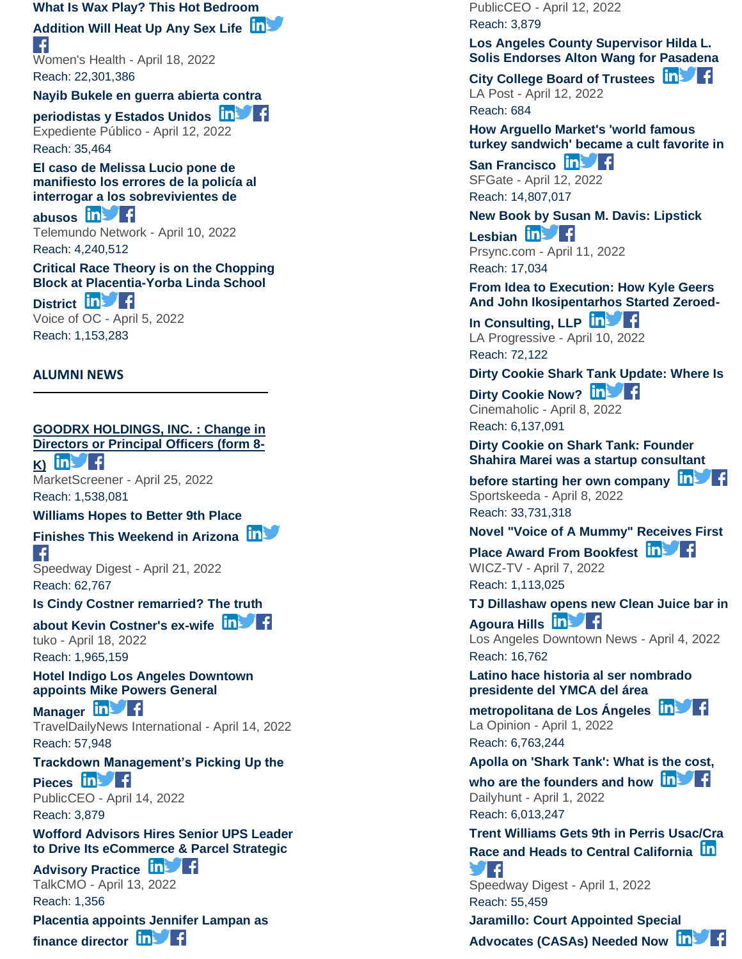#### **[What Is Wax Play? This Hot Bedroom](https://app.meltwater.com/mwTransition/?url=https%3A%2F%2Fwww.womenshealthmag.com%2Fsex-and-love%2Fa29785476%2Fwax-play%2F&uId=56799af389db0b74099dc16f&cId=5542641db933d37e9596dc54&dId=mFj2AYW3GxKuxDbew1NI-tB5VWc&contextId=624ce4d4416c2a0013c6c00f&op=open&sentiment=N&isHosted=false&publishTime=1650341160000&id=&name=&type=&transitionToken=eyJ0eXAiOiJKV1QiLCJhbGciOiJIUzUxMiJ9.eyJob3N0bmFtZSI6Ind3dy53b21lbnNoZWFsdGhtYWcuY29tIn0.OkrgZ57YABpWL90R6Vjw6bGV4y14OBp9VO1550mTI1F_gxhN9QmRzf-B766mKqw7ZHkIyIBgoaAG4LzfNDMaVQ&s=mail-newsletter)**

#### **[Addition Will Heat Up Any Sex Life](https://app.meltwater.com/mwTransition/?url=https%3A%2F%2Fwww.womenshealthmag.com%2Fsex-and-love%2Fa29785476%2Fwax-play%2F&uId=56799af389db0b74099dc16f&cId=5542641db933d37e9596dc54&dId=mFj2AYW3GxKuxDbew1NI-tB5VWc&contextId=624ce4d4416c2a0013c6c00f&op=open&sentiment=N&isHosted=false&publishTime=1650341160000&id=&name=&type=&transitionToken=eyJ0eXAiOiJKV1QiLCJhbGciOiJIUzUxMiJ9.eyJob3N0bmFtZSI6Ind3dy53b21lbnNoZWFsdGhtYWcuY29tIn0.OkrgZ57YABpWL90R6Vjw6bGV4y14OBp9VO1550mTI1F_gxhN9QmRzf-B766mKqw7ZHkIyIBgoaAG4LzfNDMaVQ&s=mail-newsletter)**  $\left| \right|$

Women's Health - April 18, 2022 Reach: 22,301,386

**[Nayib Bukele en guerra abierta contra](https://app.meltwater.com/mwTransition/?url=https%3A%2F%2Fwww.expedientepublico.org%2Fnayib-bukele-en-guerra-abierta-contra-periodistas-y-estados-unidos%2F&uId=56799af389db0b74099dc16f&cId=5542641db933d37e9596dc54&dId=nbJ1b6et44Copa4nPI_kxaBWDB0&contextId=624ce4d4416c2a0013c6c00f&op=open&sentiment=N&isHosted=false&publishTime=1649803143312&id=&name=&type=&transitionToken=eyJ0eXAiOiJKV1QiLCJhbGciOiJIUzUxMiJ9.eyJob3N0bmFtZSI6Ind3dy5leHBlZGllbnRlcHVibGljby5vcmcifQ.YjMPKI1_XyOWyV3CTAmapetbgXG7DsxYmNuonDCb6jV-CrQKDU2SQJNowHnXIVivMn9oYRb1ff_uLxizLfV1nQ&s=mail-newsletter)** 

**[periodistas y Estados Unidos](https://app.meltwater.com/mwTransition/?url=https%3A%2F%2Fwww.expedientepublico.org%2Fnayib-bukele-en-guerra-abierta-contra-periodistas-y-estados-unidos%2F&uId=56799af389db0b74099dc16f&cId=5542641db933d37e9596dc54&dId=nbJ1b6et44Copa4nPI_kxaBWDB0&contextId=624ce4d4416c2a0013c6c00f&op=open&sentiment=N&isHosted=false&publishTime=1649803143312&id=&name=&type=&transitionToken=eyJ0eXAiOiJKV1QiLCJhbGciOiJIUzUxMiJ9.eyJob3N0bmFtZSI6Ind3dy5leHBlZGllbnRlcHVibGljby5vcmcifQ.YjMPKI1_XyOWyV3CTAmapetbgXG7DsxYmNuonDCb6jV-CrQKDU2SQJNowHnXIVivMn9oYRb1ff_uLxizLfV1nQ&s=mail-newsletter)** Expediente Público - April 12, 2022 Reach: 35,464

**[El caso de Melissa Lucio pone de](https://app.meltwater.com/mwTransition/?url=https%3A%2F%2Fwww.telemundo.com%2Fnoticias%2Fnoticias-telemundo%2Fjusticia%2Fel-caso-melissa-lucio-pone-de-manifiesto-los-errores-de-la-policia-al-rcna23755&uId=56799af389db0b74099dc16f&cId=5542641db933d37e9596dc54&dId=YP5lbxEO6yMPogiglmi-PNDSKQA&contextId=624ce4d4416c2a0013c6c00f&op=open&sentiment=V&isHosted=false&publishTime=1649591580000&id=&name=&type=&transitionToken=eyJ0eXAiOiJKV1QiLCJhbGciOiJIUzUxMiJ9.eyJob3N0bmFtZSI6Ind3dy50ZWxlbXVuZG8uY29tIn0.vd8c29JDuCHg8N4uRmaiYyh5-9fz9ArHGCmHkFKIRnHEQvm2W-mLRJ4xZBjV1TiHh_eTV6sexUwxCxaNgNpS6g&s=mail-newsletter)  [manifiesto los errores de la policía al](https://app.meltwater.com/mwTransition/?url=https%3A%2F%2Fwww.telemundo.com%2Fnoticias%2Fnoticias-telemundo%2Fjusticia%2Fel-caso-melissa-lucio-pone-de-manifiesto-los-errores-de-la-policia-al-rcna23755&uId=56799af389db0b74099dc16f&cId=5542641db933d37e9596dc54&dId=YP5lbxEO6yMPogiglmi-PNDSKQA&contextId=624ce4d4416c2a0013c6c00f&op=open&sentiment=V&isHosted=false&publishTime=1649591580000&id=&name=&type=&transitionToken=eyJ0eXAiOiJKV1QiLCJhbGciOiJIUzUxMiJ9.eyJob3N0bmFtZSI6Ind3dy50ZWxlbXVuZG8uY29tIn0.vd8c29JDuCHg8N4uRmaiYyh5-9fz9ArHGCmHkFKIRnHEQvm2W-mLRJ4xZBjV1TiHh_eTV6sexUwxCxaNgNpS6g&s=mail-newsletter)  [interrogar a los sobrevivientes de](https://app.meltwater.com/mwTransition/?url=https%3A%2F%2Fwww.telemundo.com%2Fnoticias%2Fnoticias-telemundo%2Fjusticia%2Fel-caso-melissa-lucio-pone-de-manifiesto-los-errores-de-la-policia-al-rcna23755&uId=56799af389db0b74099dc16f&cId=5542641db933d37e9596dc54&dId=YP5lbxEO6yMPogiglmi-PNDSKQA&contextId=624ce4d4416c2a0013c6c00f&op=open&sentiment=V&isHosted=false&publishTime=1649591580000&id=&name=&type=&transitionToken=eyJ0eXAiOiJKV1QiLCJhbGciOiJIUzUxMiJ9.eyJob3N0bmFtZSI6Ind3dy50ZWxlbXVuZG8uY29tIn0.vd8c29JDuCHg8N4uRmaiYyh5-9fz9ArHGCmHkFKIRnHEQvm2W-mLRJ4xZBjV1TiHh_eTV6sexUwxCxaNgNpS6g&s=mail-newsletter)** 

**[abusos](https://app.meltwater.com/mwTransition/?url=https%3A%2F%2Fwww.telemundo.com%2Fnoticias%2Fnoticias-telemundo%2Fjusticia%2Fel-caso-melissa-lucio-pone-de-manifiesto-los-errores-de-la-policia-al-rcna23755&uId=56799af389db0b74099dc16f&cId=5542641db933d37e9596dc54&dId=YP5lbxEO6yMPogiglmi-PNDSKQA&contextId=624ce4d4416c2a0013c6c00f&op=open&sentiment=V&isHosted=false&publishTime=1649591580000&id=&name=&type=&transitionToken=eyJ0eXAiOiJKV1QiLCJhbGciOiJIUzUxMiJ9.eyJob3N0bmFtZSI6Ind3dy50ZWxlbXVuZG8uY29tIn0.vd8c29JDuCHg8N4uRmaiYyh5-9fz9ArHGCmHkFKIRnHEQvm2W-mLRJ4xZBjV1TiHh_eTV6sexUwxCxaNgNpS6g&s=mail-newsletter)** Telemundo Network - April 10, 2022 Reach: 4,240,512

**[Critical Race Theory is on the Chopping](https://app.meltwater.com/mwTransition/?url=https%3A%2F%2Fvoiceofoc.org%2F2022%2F04%2Fcritical-race-theory-is-on-the-chopping-block-at-placentia-yorba-linda-school-district%2F&uId=56799af389db0b74099dc16f&cId=5542641db933d37e9596dc54&dId=wfl426TPUjobyzD9sQRw7bnktRU&contextId=624ce4d4416c2a0013c6c00f&op=open&sentiment=N&isHosted=false&publishTime=1649161556000&id=&name=&type=&transitionToken=eyJ0eXAiOiJKV1QiLCJhbGciOiJIUzUxMiJ9.eyJob3N0bmFtZSI6InZvaWNlb2ZvYy5vcmcifQ.denipMR4WfLfAOCvU2LrhWVZTcO372t45F6txwKTn69Ir6o3A6mUq4ooVXVOqokZ_2d49cNDiOC8oWInn5AdHw&s=mail-newsletter)  Block at Placentia [-Yorba Linda School](https://app.meltwater.com/mwTransition/?url=https%3A%2F%2Fvoiceofoc.org%2F2022%2F04%2Fcritical-race-theory-is-on-the-chopping-block-at-placentia-yorba-linda-school-district%2F&uId=56799af389db0b74099dc16f&cId=5542641db933d37e9596dc54&dId=wfl426TPUjobyzD9sQRw7bnktRU&contextId=624ce4d4416c2a0013c6c00f&op=open&sentiment=N&isHosted=false&publishTime=1649161556000&id=&name=&type=&transitionToken=eyJ0eXAiOiJKV1QiLCJhbGciOiJIUzUxMiJ9.eyJob3N0bmFtZSI6InZvaWNlb2ZvYy5vcmcifQ.denipMR4WfLfAOCvU2LrhWVZTcO372t45F6txwKTn69Ir6o3A6mUq4ooVXVOqokZ_2d49cNDiOC8oWInn5AdHw&s=mail-newsletter)** 

**[District](https://app.meltwater.com/mwTransition/?url=https%3A%2F%2Fvoiceofoc.org%2F2022%2F04%2Fcritical-race-theory-is-on-the-chopping-block-at-placentia-yorba-linda-school-district%2F&uId=56799af389db0b74099dc16f&cId=5542641db933d37e9596dc54&dId=wfl426TPUjobyzD9sQRw7bnktRU&contextId=624ce4d4416c2a0013c6c00f&op=open&sentiment=N&isHosted=false&publishTime=1649161556000&id=&name=&type=&transitionToken=eyJ0eXAiOiJKV1QiLCJhbGciOiJIUzUxMiJ9.eyJob3N0bmFtZSI6InZvaWNlb2ZvYy5vcmcifQ.denipMR4WfLfAOCvU2LrhWVZTcO372t45F6txwKTn69Ir6o3A6mUq4ooVXVOqokZ_2d49cNDiOC8oWInn5AdHw&s=mail-newsletter) in** Voice of OC - April 5, 2022 Reach: 1,153,283

#### **ALUMNI NEWS**

# **[GOODRX HOLDINGS, INC. : Change in](https://app.meltwater.com/mwTransition/?url=https%3A%2F%2Fwww.marketscreener.com%2Fquote%2Fstock%2FGOODRX-HOLDINGS-INC-112833794%2Fnews%2FGOODRX-HOLDINGS-INC-Change-in-Directors-or-Principal-Officers-form-8-K-40145121%2F&uId=56799af389db0b74099dc16f&cId=5542641db933d37e9596dc54&dId=070hG-DDPcMA3nxkjgIrpN5jvEE&contextId=624ce4d4416c2a0013c6c00f&op=open&sentiment=N&isHosted=false&publishTime=1650917349000&id=&name=&type=&transitionToken=eyJ0eXAiOiJKV1QiLCJhbGciOiJIUzUxMiJ9.eyJob3N0bmFtZSI6Ind3dy5tYXJrZXRzY3JlZW5lci5jb20ifQ.TS6_EVIDhGcJvqUYdXwl2OZl8jjRy8vTFQGlnqQ2NJu2tfOWmNSNR7syf3cJmW6GyRaSjolBFXDFdkvp1tjFlw&s=mail-newsletter)**

**[Directors or Principal Officers \(form 8](https://app.meltwater.com/mwTransition/?url=https%3A%2F%2Fwww.marketscreener.com%2Fquote%2Fstock%2FGOODRX-HOLDINGS-INC-112833794%2Fnews%2FGOODRX-HOLDINGS-INC-Change-in-Directors-or-Principal-Officers-form-8-K-40145121%2F&uId=56799af389db0b74099dc16f&cId=5542641db933d37e9596dc54&dId=070hG-DDPcMA3nxkjgIrpN5jvEE&contextId=624ce4d4416c2a0013c6c00f&op=open&sentiment=N&isHosted=false&publishTime=1650917349000&id=&name=&type=&transitionToken=eyJ0eXAiOiJKV1QiLCJhbGciOiJIUzUxMiJ9.eyJob3N0bmFtZSI6Ind3dy5tYXJrZXRzY3JlZW5lci5jb20ifQ.TS6_EVIDhGcJvqUYdXwl2OZl8jjRy8vTFQGlnqQ2NJu2tfOWmNSNR7syf3cJmW6GyRaSjolBFXDFdkvp1tjFlw&s=mail-newsletter) -**  $K$   $\overline{m}$   $\overline{f}$ 

MarketScreener - April 25, 2022 Reach: 1,538,081

#### **[Williams Hopes to Better 9th Place](https://app.meltwater.com/mwTransition/?url=https%3A%2F%2Fwww.speedwaydigest.com%2Findex.php%2Fnews%2Fracing-news%2F68905-williams-hopes-to-better-9th-place-finishes-this-weekend-in-arizona&uId=56799af389db0b74099dc16f&cId=5542641db933d37e9596dc54&dId=iXOVQWLxFDGEkm1psEIFJswdh58&contextId=624ce4d4416c2a0013c6c00f&op=open&sentiment=N&isHosted=false&publishTime=1650588726684&id=&name=&type=&transitionToken=eyJ0eXAiOiJKV1QiLCJhbGciOiJIUzUxMiJ9.eyJob3N0bmFtZSI6Ind3dy5zcGVlZHdheWRpZ2VzdC5jb20ifQ.BIDOdKX--5-MYRkCSgiveCl8a_EfNzvAfoWvm4UTvCOL9W_aF_etgRiZVk-1ruA7PQsk0xngsOiElCQKNB3Y5g&s=mail-newsletter)**

# **[Finishes This Weekend in Arizona](https://app.meltwater.com/mwTransition/?url=https%3A%2F%2Fwww.speedwaydigest.com%2Findex.php%2Fnews%2Fracing-news%2F68905-williams-hopes-to-better-9th-place-finishes-this-weekend-in-arizona&uId=56799af389db0b74099dc16f&cId=5542641db933d37e9596dc54&dId=iXOVQWLxFDGEkm1psEIFJswdh58&contextId=624ce4d4416c2a0013c6c00f&op=open&sentiment=N&isHosted=false&publishTime=1650588726684&id=&name=&type=&transitionToken=eyJ0eXAiOiJKV1QiLCJhbGciOiJIUzUxMiJ9.eyJob3N0bmFtZSI6Ind3dy5zcGVlZHdheWRpZ2VzdC5jb20ifQ.BIDOdKX--5-MYRkCSgiveCl8a_EfNzvAfoWvm4UTvCOL9W_aF_etgRiZVk-1ruA7PQsk0xngsOiElCQKNB3Y5g&s=mail-newsletter)**

∣ f Speedway Digest - April 21, 2022 Reach: 62,767

**[Is Cindy Costner remarried? The truth](https://app.meltwater.com/mwTransition/?url=https%3A%2F%2Fwww.tuko.co.ke%2Ffacts-lifehacks%2Fcelebrity-biographies%2F450732-is-cindy-costner-remarried-the-truth-kevin-costners-wife%2F&uId=56799af389db0b74099dc16f&cId=5542641db933d37e9596dc54&dId=MePsK3tDbXtwFr7BKCBnIL7CmNw&contextId=624ce4d4416c2a0013c6c00f&op=open&sentiment=N&isHosted=false&publishTime=1650351139000&id=&name=&type=&transitionToken=eyJ0eXAiOiJKV1QiLCJhbGciOiJIUzUxMiJ9.eyJob3N0bmFtZSI6Ind3dy50dWtvLmNvLmtlIn0._Z3Fmmt1G_nVFXlzUZ2zmvaMAUoV7D1Pith__7VM7Di9H7EiAuNpjrWPDftLZstXGrSTNCdnacBEbL5nEwmjdQ&s=mail-newsletter)** 

**[about Kevin Costner's ex](https://app.meltwater.com/mwTransition/?url=https%3A%2F%2Fwww.tuko.co.ke%2Ffacts-lifehacks%2Fcelebrity-biographies%2F450732-is-cindy-costner-remarried-the-truth-kevin-costners-wife%2F&uId=56799af389db0b74099dc16f&cId=5542641db933d37e9596dc54&dId=MePsK3tDbXtwFr7BKCBnIL7CmNw&contextId=624ce4d4416c2a0013c6c00f&op=open&sentiment=N&isHosted=false&publishTime=1650351139000&id=&name=&type=&transitionToken=eyJ0eXAiOiJKV1QiLCJhbGciOiJIUzUxMiJ9.eyJob3N0bmFtZSI6Ind3dy50dWtvLmNvLmtlIn0._Z3Fmmt1G_nVFXlzUZ2zmvaMAUoV7D1Pith__7VM7Di9H7EiAuNpjrWPDftLZstXGrSTNCdnacBEbL5nEwmjdQ&s=mail-newsletter) -wife** tuko - April 18, 2022 Reach: 1,965,159

**[Hotel Indigo Los Angeles Downtown](https://app.meltwater.com/mwTransition/?url=https%3A%2F%2Fwww.traveldailynews.com%2Fpost%2Fhotel-indigo-los-angeles-downtown-appoints-mike-powers-general-manager&uId=56799af389db0b74099dc16f&cId=5542641db933d37e9596dc54&dId=wbhXkigNH9f-K4nbi75zqNgkxsE&contextId=624ce4d4416c2a0013c6c00f&op=open&sentiment=N&isHosted=false&publishTime=1649989920000&id=&name=&type=&transitionToken=eyJ0eXAiOiJKV1QiLCJhbGciOiJIUzUxMiJ9.eyJob3N0bmFtZSI6Ind3dy50cmF2ZWxkYWlseW5ld3MuY29tIn0.nJEx3giesxCuV4qfFivtgdNkoruMMqWPeZC5l_wO-hmRpSpHZiXl79_D5UpNRQY0ANbzeCbaQB5fDqVG-WOz-A&s=mail-newsletter)  [appoints Mike Powers General](https://app.meltwater.com/mwTransition/?url=https%3A%2F%2Fwww.traveldailynews.com%2Fpost%2Fhotel-indigo-los-angeles-downtown-appoints-mike-powers-general-manager&uId=56799af389db0b74099dc16f&cId=5542641db933d37e9596dc54&dId=wbhXkigNH9f-K4nbi75zqNgkxsE&contextId=624ce4d4416c2a0013c6c00f&op=open&sentiment=N&isHosted=false&publishTime=1649989920000&id=&name=&type=&transitionToken=eyJ0eXAiOiJKV1QiLCJhbGciOiJIUzUxMiJ9.eyJob3N0bmFtZSI6Ind3dy50cmF2ZWxkYWlseW5ld3MuY29tIn0.nJEx3giesxCuV4qfFivtgdNkoruMMqWPeZC5l_wO-hmRpSpHZiXl79_D5UpNRQY0ANbzeCbaQB5fDqVG-WOz-A&s=mail-newsletter)** 

**[Manager](https://app.meltwater.com/mwTransition/?url=https%3A%2F%2Fwww.traveldailynews.com%2Fpost%2Fhotel-indigo-los-angeles-downtown-appoints-mike-powers-general-manager&uId=56799af389db0b74099dc16f&cId=5542641db933d37e9596dc54&dId=wbhXkigNH9f-K4nbi75zqNgkxsE&contextId=624ce4d4416c2a0013c6c00f&op=open&sentiment=N&isHosted=false&publishTime=1649989920000&id=&name=&type=&transitionToken=eyJ0eXAiOiJKV1QiLCJhbGciOiJIUzUxMiJ9.eyJob3N0bmFtZSI6Ind3dy50cmF2ZWxkYWlseW5ld3MuY29tIn0.nJEx3giesxCuV4qfFivtgdNkoruMMqWPeZC5l_wO-hmRpSpHZiXl79_D5UpNRQY0ANbzeCbaQB5fDqVG-WOz-A&s=mail-newsletter)**  $\ln$  **f** TravelDailyNews International - April 14, 2022 Reach: 57,948

#### **[Trackdown Management's Picking Up the](https://app.meltwater.com/mwTransition/?url=https%3A%2F%2Fwww.publicceo.com%2F2022%2F04%2Ftrackdown-managements-picking-up-the-pieces-37%2F&uId=56799af389db0b74099dc16f&cId=5542641db933d37e9596dc54&dId=G66sRUav7YtDq477HxGlw85vOR4&contextId=624ce4d4416c2a0013c6c00f&op=open&sentiment=N&isHosted=false&publishTime=1649987784000&id=&name=&type=&transitionToken=eyJ0eXAiOiJKV1QiLCJhbGciOiJIUzUxMiJ9.eyJob3N0bmFtZSI6Ind3dy5wdWJsaWNjZW8uY29tIn0.zquzH86YN3i7-7Q5LUfQL6iKb5qLX20ZRrJjvBrzs7SSK0V-rfZG9ugZEnKDTL770F04TSEee6R0jeKJCY5bVA&s=mail-newsletter)**

[Pieces](https://app.meltwater.com/mwTransition/?url=https%3A%2F%2Fwww.publicceo.com%2F2022%2F04%2Ftrackdown-managements-picking-up-the-pieces-37%2F&uId=56799af389db0b74099dc16f&cId=5542641db933d37e9596dc54&dId=G66sRUav7YtDq477HxGlw85vOR4&contextId=624ce4d4416c2a0013c6c00f&op=open&sentiment=N&isHosted=false&publishTime=1649987784000&id=&name=&type=&transitionToken=eyJ0eXAiOiJKV1QiLCJhbGciOiJIUzUxMiJ9.eyJob3N0bmFtZSI6Ind3dy5wdWJsaWNjZW8uY29tIn0.zquzH86YN3i7-7Q5LUfQL6iKb5qLX20ZRrJjvBrzs7SSK0V-rfZG9ugZEnKDTL770F04TSEee6R0jeKJCY5bVA&s=mail-newsletter) **in Fig.** PublicCEO - April 14, 2022 Reach: 3,879

**[Wofford Advisors Hires Senior UPS Leader](https://app.meltwater.com/mwTransition/?url=https%3A%2F%2Ftalkcmo.com%2Fnews%2Fwofford-advisors-hires-senior-ups-leader-to-drive-its-ecommerce-parcel-strategic-advisory-practice%2F&uId=56799af389db0b74099dc16f&cId=5542641db933d37e9596dc54&dId=lxLclxec7FDe14ekveII-W_ubfA&contextId=624ce4d4416c2a0013c6c00f&op=open&sentiment=N&isHosted=false&publishTime=1649849656000&id=&name=&type=&transitionToken=eyJ0eXAiOiJKV1QiLCJhbGciOiJIUzUxMiJ9.eyJob3N0bmFtZSI6InRhbGtjbW8uY29tIn0.vHxIGtSTtp5oeRYtZmhUZgnnY0V4Gnd8iVZcTo07o4CcwBv3eBojLTZIXt6HT7TAdTXOBrdKc5sSyLGIO-QlMA&s=mail-newsletter)  [to Drive Its eCommerce & Parcel Strategic](https://app.meltwater.com/mwTransition/?url=https%3A%2F%2Ftalkcmo.com%2Fnews%2Fwofford-advisors-hires-senior-ups-leader-to-drive-its-ecommerce-parcel-strategic-advisory-practice%2F&uId=56799af389db0b74099dc16f&cId=5542641db933d37e9596dc54&dId=lxLclxec7FDe14ekveII-W_ubfA&contextId=624ce4d4416c2a0013c6c00f&op=open&sentiment=N&isHosted=false&publishTime=1649849656000&id=&name=&type=&transitionToken=eyJ0eXAiOiJKV1QiLCJhbGciOiJIUzUxMiJ9.eyJob3N0bmFtZSI6InRhbGtjbW8uY29tIn0.vHxIGtSTtp5oeRYtZmhUZgnnY0V4Gnd8iVZcTo07o4CcwBv3eBojLTZIXt6HT7TAdTXOBrdKc5sSyLGIO-QlMA&s=mail-newsletter)** 

# **[Advisory Practice](https://app.meltwater.com/mwTransition/?url=https%3A%2F%2Ftalkcmo.com%2Fnews%2Fwofford-advisors-hires-senior-ups-leader-to-drive-its-ecommerce-parcel-strategic-advisory-practice%2F&uId=56799af389db0b74099dc16f&cId=5542641db933d37e9596dc54&dId=lxLclxec7FDe14ekveII-W_ubfA&contextId=624ce4d4416c2a0013c6c00f&op=open&sentiment=N&isHosted=false&publishTime=1649849656000&id=&name=&type=&transitionToken=eyJ0eXAiOiJKV1QiLCJhbGciOiJIUzUxMiJ9.eyJob3N0bmFtZSI6InRhbGtjbW8uY29tIn0.vHxIGtSTtp5oeRYtZmhUZgnnY0V4Gnd8iVZcTo07o4CcwBv3eBojLTZIXt6HT7TAdTXOBrdKc5sSyLGIO-QlMA&s=mail-newsletter) In Practice**

TalkCMO - April 13, 2022 Reach: 1,356

**[Placentia appoints Jennifer Lampan as](https://app.meltwater.com/mwTransition/?url=https%3A%2F%2Fwww.publicceo.com%2F2022%2F04%2Fplacentia-appoints-jennifer-lampan-as-finance-director%2F&uId=56799af389db0b74099dc16f&cId=5542641db933d37e9596dc54&dId=ilW_QUYeOVOZ0doPlgY-jrbINq4&contextId=624ce4d4416c2a0013c6c00f&op=open&sentiment=P&isHosted=false&publishTime=1649811262000&id=&name=&type=&transitionToken=eyJ0eXAiOiJKV1QiLCJhbGciOiJIUzUxMiJ9.eyJob3N0bmFtZSI6Ind3dy5wdWJsaWNjZW8uY29tIn0.zquzH86YN3i7-7Q5LUfQL6iKb5qLX20ZRrJjvBrzs7SSK0V-rfZG9ugZEnKDTL770F04TSEee6R0jeKJCY5bVA&s=mail-newsletter)** 

**[finance director](https://app.meltwater.com/mwTransition/?url=https%3A%2F%2Fwww.publicceo.com%2F2022%2F04%2Fplacentia-appoints-jennifer-lampan-as-finance-director%2F&uId=56799af389db0b74099dc16f&cId=5542641db933d37e9596dc54&dId=ilW_QUYeOVOZ0doPlgY-jrbINq4&contextId=624ce4d4416c2a0013c6c00f&op=open&sentiment=P&isHosted=false&publishTime=1649811262000&id=&name=&type=&transitionToken=eyJ0eXAiOiJKV1QiLCJhbGciOiJIUzUxMiJ9.eyJob3N0bmFtZSI6Ind3dy5wdWJsaWNjZW8uY29tIn0.zquzH86YN3i7-7Q5LUfQL6iKb5qLX20ZRrJjvBrzs7SSK0V-rfZG9ugZEnKDTL770F04TSEee6R0jeKJCY5bVA&s=mail-newsletter) in Fig.** 

PublicCEO - April 12, 2022 Reach: 3,879

#### **[Los Angeles County Supervisor Hilda L.](https://app.meltwater.com/mwTransition/?url=https%3A%2F%2Flapost.us%2F%3Fp%3D47130&uId=56799af389db0b74099dc16f&cId=5542641db933d37e9596dc54&dId=AiGXuFZl7pPgqnNQ2RVOOlP51xw&contextId=624ce4d4416c2a0013c6c00f&op=open&sentiment=P&isHosted=false&publishTime=1649789999000&id=&name=&type=&transitionToken=eyJ0eXAiOiJKV1QiLCJhbGciOiJIUzUxMiJ9.eyJob3N0bmFtZSI6ImxhcG9zdC51cyJ9.BN6czoTpfmlk2vZHL-y5Acn5_ZThyRh6I4NtBHzM8phvsef7lfiuCduKkI4ec7M-R8plOLucilfKynFmoRrV5Q&s=mail-newsletter)  [Solis Endorses Alton Wang for Pasadena](https://app.meltwater.com/mwTransition/?url=https%3A%2F%2Flapost.us%2F%3Fp%3D47130&uId=56799af389db0b74099dc16f&cId=5542641db933d37e9596dc54&dId=AiGXuFZl7pPgqnNQ2RVOOlP51xw&contextId=624ce4d4416c2a0013c6c00f&op=open&sentiment=P&isHosted=false&publishTime=1649789999000&id=&name=&type=&transitionToken=eyJ0eXAiOiJKV1QiLCJhbGciOiJIUzUxMiJ9.eyJob3N0bmFtZSI6ImxhcG9zdC51cyJ9.BN6czoTpfmlk2vZHL-y5Acn5_ZThyRh6I4NtBHzM8phvsef7lfiuCduKkI4ec7M-R8plOLucilfKynFmoRrV5Q&s=mail-newsletter)**

**[City College Board of Trustees](https://app.meltwater.com/mwTransition/?url=https%3A%2F%2Flapost.us%2F%3Fp%3D47130&uId=56799af389db0b74099dc16f&cId=5542641db933d37e9596dc54&dId=AiGXuFZl7pPgqnNQ2RVOOlP51xw&contextId=624ce4d4416c2a0013c6c00f&op=open&sentiment=P&isHosted=false&publishTime=1649789999000&id=&name=&type=&transitionToken=eyJ0eXAiOiJKV1QiLCJhbGciOiJIUzUxMiJ9.eyJob3N0bmFtZSI6ImxhcG9zdC51cyJ9.BN6czoTpfmlk2vZHL-y5Acn5_ZThyRh6I4NtBHzM8phvsef7lfiuCduKkI4ec7M-R8plOLucilfKynFmoRrV5Q&s=mail-newsletter)** LA Post - April 12, 2022 Reach: 684

**[How Arguello Market's 'world famous](https://app.meltwater.com/mwTransition/?url=https%3A%2F%2Fwww.sfgate.com%2Ffood%2Farticle%2FArguello-Market-world-famous-turkey-sandwich-in-SF-17060002.php%3FIPID%3DSFGate-HP-CP-Spotlight&uId=56799af389db0b74099dc16f&cId=5542641db933d37e9596dc54&dId=MWtWPxTnx2ajZhbsOLNkz4bAJpU&contextId=624ce4d4416c2a0013c6c00f&op=open&sentiment=N&isHosted=false&publishTime=1649767228832&id=&name=&type=&transitionToken=eyJ0eXAiOiJKV1QiLCJhbGciOiJIUzUxMiJ9.eyJob3N0bmFtZSI6Ind3dy5zZmdhdGUuY29tIn0.lGJOn0btFj4UT_1q2VbE1kq2XPaKB98Vcg3cLkcDBDcRAas8kEO5jWqfW4ZqilcQv2i0glURIZZJOGW2ope0tw&s=mail-newsletter)  [turkey sandwich' became a cult favorite in](https://app.meltwater.com/mwTransition/?url=https%3A%2F%2Fwww.sfgate.com%2Ffood%2Farticle%2FArguello-Market-world-famous-turkey-sandwich-in-SF-17060002.php%3FIPID%3DSFGate-HP-CP-Spotlight&uId=56799af389db0b74099dc16f&cId=5542641db933d37e9596dc54&dId=MWtWPxTnx2ajZhbsOLNkz4bAJpU&contextId=624ce4d4416c2a0013c6c00f&op=open&sentiment=N&isHosted=false&publishTime=1649767228832&id=&name=&type=&transitionToken=eyJ0eXAiOiJKV1QiLCJhbGciOiJIUzUxMiJ9.eyJob3N0bmFtZSI6Ind3dy5zZmdhdGUuY29tIn0.lGJOn0btFj4UT_1q2VbE1kq2XPaKB98Vcg3cLkcDBDcRAas8kEO5jWqfW4ZqilcQv2i0glURIZZJOGW2ope0tw&s=mail-newsletter)** 

[San Francisco](https://app.meltwater.com/mwTransition/?url=https%3A%2F%2Fwww.sfgate.com%2Ffood%2Farticle%2FArguello-Market-world-famous-turkey-sandwich-in-SF-17060002.php%3FIPID%3DSFGate-HP-CP-Spotlight&uId=56799af389db0b74099dc16f&cId=5542641db933d37e9596dc54&dId=MWtWPxTnx2ajZhbsOLNkz4bAJpU&contextId=624ce4d4416c2a0013c6c00f&op=open&sentiment=N&isHosted=false&publishTime=1649767228832&id=&name=&type=&transitionToken=eyJ0eXAiOiJKV1QiLCJhbGciOiJIUzUxMiJ9.eyJob3N0bmFtZSI6Ind3dy5zZmdhdGUuY29tIn0.lGJOn0btFj4UT_1q2VbE1kq2XPaKB98Vcg3cLkcDBDcRAas8kEO5jWqfW4ZqilcQv2i0glURIZZJOGW2ope0tw&s=mail-newsletter) **in Francisco** SFGate - April 12, 2022 Reach: 14,807,017

**[New Book by Susan M. Davis: Lipstick](https://app.meltwater.com/mwTransition/?url=http%3A%2F%2Fprsync.com%2Fadelaide-books%2Fnew-book-by-susan-m-davis-lipstick-lesbian-3601686%2F&uId=56799af389db0b74099dc16f&cId=5542641db933d37e9596dc54&dId=dO9Ff6sClv6l4nP09GG7kTc_Kj0&contextId=624ce4d4416c2a0013c6c00f&op=open&sentiment=N&isHosted=false&publishTime=1649688701077&id=&name=&type=&transitionToken=eyJ0eXAiOiJKV1QiLCJhbGciOiJIUzUxMiJ9.eyJob3N0bmFtZSI6InByc3luYy5jb20ifQ.zkoVAJ9JKEhlpLnFlKKb5FYIf8joivF8_wsc6eN-Yxs8SmDLPWQGbZyjDaMW4id0ROlxTLTPfNcdL2i6eUTH3g&s=mail-newsletter)** 

[Lesbian](https://app.meltwater.com/mwTransition/?url=http%3A%2F%2Fprsync.com%2Fadelaide-books%2Fnew-book-by-susan-m-davis-lipstick-lesbian-3601686%2F&uId=56799af389db0b74099dc16f&cId=5542641db933d37e9596dc54&dId=dO9Ff6sClv6l4nP09GG7kTc_Kj0&contextId=624ce4d4416c2a0013c6c00f&op=open&sentiment=N&isHosted=false&publishTime=1649688701077&id=&name=&type=&transitionToken=eyJ0eXAiOiJKV1QiLCJhbGciOiJIUzUxMiJ9.eyJob3N0bmFtZSI6InByc3luYy5jb20ifQ.zkoVAJ9JKEhlpLnFlKKb5FYIf8joivF8_wsc6eN-Yxs8SmDLPWQGbZyjDaMW4id0ROlxTLTPfNcdL2i6eUTH3g&s=mail-newsletter) **in Fi** Prsync.com - April 11, 2022 Reach: 17,034

**[From Idea to Execution: How Kyle Geers](https://app.meltwater.com/mwTransition/?url=https%3A%2F%2Fwww.laprogressive.com%2Fsponsored%2Fkyle-geers-and-john-ikosipentarhos&uId=56799af389db0b74099dc16f&cId=5542641db933d37e9596dc54&dId=A3Fkl3S7Fw_aWc7BOuAamFGbh5Y&contextId=624ce4d4416c2a0013c6c00f&op=open&sentiment=N&isHosted=false&publishTime=1649579820000&id=&name=&type=&transitionToken=eyJ0eXAiOiJKV1QiLCJhbGciOiJIUzUxMiJ9.eyJob3N0bmFtZSI6Ind3dy5sYXByb2dyZXNzaXZlLmNvbSJ9.Xmsv2z-T-bsoRYI6GLxE5GJLiIFU0PZzYb8brXjBhAqOeSfdcE1JmQh0epx7hGMi3gG0-se_eYBf1g49SrxM2Q&s=mail-newsletter)  [And John Ikosipentarhos Started Zeroed](https://app.meltwater.com/mwTransition/?url=https%3A%2F%2Fwww.laprogressive.com%2Fsponsored%2Fkyle-geers-and-john-ikosipentarhos&uId=56799af389db0b74099dc16f&cId=5542641db933d37e9596dc54&dId=A3Fkl3S7Fw_aWc7BOuAamFGbh5Y&contextId=624ce4d4416c2a0013c6c00f&op=open&sentiment=N&isHosted=false&publishTime=1649579820000&id=&name=&type=&transitionToken=eyJ0eXAiOiJKV1QiLCJhbGciOiJIUzUxMiJ9.eyJob3N0bmFtZSI6Ind3dy5sYXByb2dyZXNzaXZlLmNvbSJ9.Xmsv2z-T-bsoRYI6GLxE5GJLiIFU0PZzYb8brXjBhAqOeSfdcE1JmQh0epx7hGMi3gG0-se_eYBf1g49SrxM2Q&s=mail-newsletter) -**

[In Consulting, LLP](https://app.meltwater.com/mwTransition/?url=https%3A%2F%2Fwww.laprogressive.com%2Fsponsored%2Fkyle-geers-and-john-ikosipentarhos&uId=56799af389db0b74099dc16f&cId=5542641db933d37e9596dc54&dId=A3Fkl3S7Fw_aWc7BOuAamFGbh5Y&contextId=624ce4d4416c2a0013c6c00f&op=open&sentiment=N&isHosted=false&publishTime=1649579820000&id=&name=&type=&transitionToken=eyJ0eXAiOiJKV1QiLCJhbGciOiJIUzUxMiJ9.eyJob3N0bmFtZSI6Ind3dy5sYXByb2dyZXNzaXZlLmNvbSJ9.Xmsv2z-T-bsoRYI6GLxE5GJLiIFU0PZzYb8brXjBhAqOeSfdcE1JmQh0epx7hGMi3gG0-se_eYBf1g49SrxM2Q&s=mail-newsletter) **In Section** LA Progressive - April 10, 2022 Reach: 72,122

**[Dirty Cookie Shark Tank Update: Where Is](https://app.meltwater.com/mwTransition/?url=https%3A%2F%2Fthecinemaholic.com%2Fdirty-cookie-shark-tank-update-where-is-dirty-cookie-now%2F&uId=56799af389db0b74099dc16f&cId=5542641db933d37e9596dc54&dId=oO0VlMPy4X26pCVGYe_fMpelD-s&contextId=624ce4d4416c2a0013c6c00f&op=open&sentiment=N&isHosted=false&publishTime=1649437254000&id=&name=&type=&transitionToken=eyJ0eXAiOiJKV1QiLCJhbGciOiJIUzUxMiJ9.eyJob3N0bmFtZSI6InRoZWNpbmVtYWhvbGljLmNvbSJ9.K789wzezOq8ZeHXzTiQ-JoEDgRcL3Lbz-iyYv4hXo8IuiEVGp3eJv47Ofj4n8zEDrOQqfcC0gWgTatiq88vU3g&s=mail-newsletter)** 

**[Dirty Cookie Now?](https://app.meltwater.com/mwTransition/?url=https%3A%2F%2Fthecinemaholic.com%2Fdirty-cookie-shark-tank-update-where-is-dirty-cookie-now%2F&uId=56799af389db0b74099dc16f&cId=5542641db933d37e9596dc54&dId=oO0VlMPy4X26pCVGYe_fMpelD-s&contextId=624ce4d4416c2a0013c6c00f&op=open&sentiment=N&isHosted=false&publishTime=1649437254000&id=&name=&type=&transitionToken=eyJ0eXAiOiJKV1QiLCJhbGciOiJIUzUxMiJ9.eyJob3N0bmFtZSI6InRoZWNpbmVtYWhvbGljLmNvbSJ9.K789wzezOq8ZeHXzTiQ-JoEDgRcL3Lbz-iyYv4hXo8IuiEVGp3eJv47Ofj4n8zEDrOQqfcC0gWgTatiq88vU3g&s=mail-newsletter)** In Cinemaholic - April 8, 2022 Reach: 6,137,091

**[Dirty Cookie on Shark Tank: Founder](https://app.meltwater.com/mwTransition/?url=https%3A%2F%2Fwww.sportskeeda.com%2Fpop-culture%2Fdirty-cookie-shark-tank-founder-shahira-marei-startup-consultant-starting-company&uId=56799af389db0b74099dc16f&cId=5542641db933d37e9596dc54&dId=L2PSan3fBQAs0zVaz8EzvzBOuiQ&contextId=624ce4d4416c2a0013c6c00f&op=open&sentiment=N&isHosted=false&publishTime=1649407634000&id=&name=&type=&transitionToken=eyJ0eXAiOiJKV1QiLCJhbGciOiJIUzUxMiJ9.eyJob3N0bmFtZSI6Ind3dy5zcG9ydHNrZWVkYS5jb20ifQ.j6pmsyJAZZWCM7CUM9AKJd9ZA64-YhnJs3EwH2Tph2iwS60gU0nrjCMWgtPLGQ7aQv2T2f0zrfMikwzLN6urNA&s=mail-newsletter)  [Shahira Marei was a startup consultant](https://app.meltwater.com/mwTransition/?url=https%3A%2F%2Fwww.sportskeeda.com%2Fpop-culture%2Fdirty-cookie-shark-tank-founder-shahira-marei-startup-consultant-starting-company&uId=56799af389db0b74099dc16f&cId=5542641db933d37e9596dc54&dId=L2PSan3fBQAs0zVaz8EzvzBOuiQ&contextId=624ce4d4416c2a0013c6c00f&op=open&sentiment=N&isHosted=false&publishTime=1649407634000&id=&name=&type=&transitionToken=eyJ0eXAiOiJKV1QiLCJhbGciOiJIUzUxMiJ9.eyJob3N0bmFtZSI6Ind3dy5zcG9ydHNrZWVkYS5jb20ifQ.j6pmsyJAZZWCM7CUM9AKJd9ZA64-YhnJs3EwH2Tph2iwS60gU0nrjCMWgtPLGQ7aQv2T2f0zrfMikwzLN6urNA&s=mail-newsletter)** 

**[before starting her own company](https://app.meltwater.com/mwTransition/?url=https%3A%2F%2Fwww.sportskeeda.com%2Fpop-culture%2Fdirty-cookie-shark-tank-founder-shahira-marei-startup-consultant-starting-company&uId=56799af389db0b74099dc16f&cId=5542641db933d37e9596dc54&dId=L2PSan3fBQAs0zVaz8EzvzBOuiQ&contextId=624ce4d4416c2a0013c6c00f&op=open&sentiment=N&isHosted=false&publishTime=1649407634000&id=&name=&type=&transitionToken=eyJ0eXAiOiJKV1QiLCJhbGciOiJIUzUxMiJ9.eyJob3N0bmFtZSI6Ind3dy5zcG9ydHNrZWVkYS5jb20ifQ.j6pmsyJAZZWCM7CUM9AKJd9ZA64-YhnJs3EwH2Tph2iwS60gU0nrjCMWgtPLGQ7aQv2T2f0zrfMikwzLN6urNA&s=mail-newsletter)** Sportskeeda - April 8, 2022 Reach: 33,731,318

**[Novel "Voice of A Mummy" Receives First](https://app.meltwater.com/mwTransition/?url=https%3A%2F%2Fwww.wicz.com%2Fstory%2F46240714%2Fnovel-voice-of-a-mummy-receives-first-place-award-from-bookfest&uId=56799af389db0b74099dc16f&cId=5542641db933d37e9596dc54&dId=1dRO3bEcudTGhdV78gMUfzxIKMI&contextId=624ce4d4416c2a0013c6c00f&op=open&sentiment=N&isHosted=false&publishTime=1649315880000&id=&name=&type=&transitionToken=eyJ0eXAiOiJKV1QiLCJhbGciOiJIUzUxMiJ9.eyJob3N0bmFtZSI6Ind3dy53aWN6LmNvbSJ9.WkQPbzCp2fmYFZ77xGrSr9sxeWMmpTmHVbTJlM8Dhu6p5hcD2NAt97ZGAfo9PetfJxDxianuhD8d51ChBKMzZg&s=mail-newsletter)** 

**[Place Award From Bookfest](https://app.meltwater.com/mwTransition/?url=https%3A%2F%2Fwww.wicz.com%2Fstory%2F46240714%2Fnovel-voice-of-a-mummy-receives-first-place-award-from-bookfest&uId=56799af389db0b74099dc16f&cId=5542641db933d37e9596dc54&dId=1dRO3bEcudTGhdV78gMUfzxIKMI&contextId=624ce4d4416c2a0013c6c00f&op=open&sentiment=N&isHosted=false&publishTime=1649315880000&id=&name=&type=&transitionToken=eyJ0eXAiOiJKV1QiLCJhbGciOiJIUzUxMiJ9.eyJob3N0bmFtZSI6Ind3dy53aWN6LmNvbSJ9.WkQPbzCp2fmYFZ77xGrSr9sxeWMmpTmHVbTJlM8Dhu6p5hcD2NAt97ZGAfo9PetfJxDxianuhD8d51ChBKMzZg&s=mail-newsletter) in** WICZ -TV - April 7, 2022 Reach: 1,113,025

## **[TJ Dillashaw opens new Clean Juice bar in](https://app.meltwater.com/mwTransition/?url=http%3A%2F%2Fwww.ladowntownnews.com%2Fbusiness%2Ftj-dillashaw-opens-new-clean-juice-bar-in-agoura-hills%2Farticle_d3ff72b2-b20c-11ec-a946-57d0fd48d373.html&uId=56799af389db0b74099dc16f&cId=5542641db933d37e9596dc54&dId=hY52dn6s1CSy2yPae7EXR--IugM&contextId=624ce4d4416c2a0013c6c00f&op=open&sentiment=P&isHosted=false&publishTime=1649059200000&id=&name=&type=&transitionToken=eyJ0eXAiOiJKV1QiLCJhbGciOiJIUzUxMiJ9.eyJob3N0bmFtZSI6Ind3dy5sYWRvd250b3dubmV3cy5jb20ifQ._xMg2mvx1i_k-uaadJgvIPcVUO6cftf0AWnAqt2hAml3LzN_DUg1giK4lC5mMka98I8Zppy3MYA7lL0_747M7Q&s=mail-newsletter)**

**[Agoura Hills](https://app.meltwater.com/mwTransition/?url=http%3A%2F%2Fwww.ladowntownnews.com%2Fbusiness%2Ftj-dillashaw-opens-new-clean-juice-bar-in-agoura-hills%2Farticle_d3ff72b2-b20c-11ec-a946-57d0fd48d373.html&uId=56799af389db0b74099dc16f&cId=5542641db933d37e9596dc54&dId=hY52dn6s1CSy2yPae7EXR--IugM&contextId=624ce4d4416c2a0013c6c00f&op=open&sentiment=P&isHosted=false&publishTime=1649059200000&id=&name=&type=&transitionToken=eyJ0eXAiOiJKV1QiLCJhbGciOiJIUzUxMiJ9.eyJob3N0bmFtZSI6Ind3dy5sYWRvd250b3dubmV3cy5jb20ifQ._xMg2mvx1i_k-uaadJgvIPcVUO6cftf0AWnAqt2hAml3LzN_DUg1giK4lC5mMka98I8Zppy3MYA7lL0_747M7Q&s=mail-newsletter) In the Fill** Los Angeles Downtown News - April 4, 2022 Reach: 16,762

**[Latino hace historia al ser nombrado](https://app.meltwater.com/mwTransition/?url=https%3A%2F%2Flaopinion.com%2F2022%2F04%2F01%2Flatino-hace-historia-al-ser-nombrado-presidente-del-ymca-del-area-metropolitana-de-los-angeles%2F&uId=56799af389db0b74099dc16f&cId=5542641db933d37e9596dc54&dId=8dVRSzkQKqcskUR50TaS8Ydax94&contextId=624ce4d4416c2a0013c6c00f&op=open&sentiment=N&isHosted=false&publishTime=1648853405000&id=&name=&type=&transitionToken=eyJ0eXAiOiJKV1QiLCJhbGciOiJIUzUxMiJ9.eyJob3N0bmFtZSI6Imxhb3Bpbmlvbi5jb20ifQ.2uvvOU9woTOKQ6ckA8btbef-RuIx40FNmoC_PMmCmTtyFFgQGK-Htu9qRgCOyiA_swFRyLL_TJ0L4l1t9esNAQ&s=mail-newsletter)  [presidente del YMCA del área](https://app.meltwater.com/mwTransition/?url=https%3A%2F%2Flaopinion.com%2F2022%2F04%2F01%2Flatino-hace-historia-al-ser-nombrado-presidente-del-ymca-del-area-metropolitana-de-los-angeles%2F&uId=56799af389db0b74099dc16f&cId=5542641db933d37e9596dc54&dId=8dVRSzkQKqcskUR50TaS8Ydax94&contextId=624ce4d4416c2a0013c6c00f&op=open&sentiment=N&isHosted=false&publishTime=1648853405000&id=&name=&type=&transitionToken=eyJ0eXAiOiJKV1QiLCJhbGciOiJIUzUxMiJ9.eyJob3N0bmFtZSI6Imxhb3Bpbmlvbi5jb20ifQ.2uvvOU9woTOKQ6ckA8btbef-RuIx40FNmoC_PMmCmTtyFFgQGK-Htu9qRgCOyiA_swFRyLL_TJ0L4l1t9esNAQ&s=mail-newsletter)** 

**[metropolitana de Los Ángeles](https://app.meltwater.com/mwTransition/?url=https%3A%2F%2Flaopinion.com%2F2022%2F04%2F01%2Flatino-hace-historia-al-ser-nombrado-presidente-del-ymca-del-area-metropolitana-de-los-angeles%2F&uId=56799af389db0b74099dc16f&cId=5542641db933d37e9596dc54&dId=8dVRSzkQKqcskUR50TaS8Ydax94&contextId=624ce4d4416c2a0013c6c00f&op=open&sentiment=N&isHosted=false&publishTime=1648853405000&id=&name=&type=&transitionToken=eyJ0eXAiOiJKV1QiLCJhbGciOiJIUzUxMiJ9.eyJob3N0bmFtZSI6Imxhb3Bpbmlvbi5jb20ifQ.2uvvOU9woTOKQ6ckA8btbef-RuIx40FNmoC_PMmCmTtyFFgQGK-Htu9qRgCOyiA_swFRyLL_TJ0L4l1t9esNAQ&s=mail-newsletter)** La Opinion - April 1, 2022 Reach: 6,763,244

**[Apolla on 'Shark Tank': What is the cost, who are the founders and how](https://app.meltwater.com/mwTransition/?url=https%3A%2F%2Fm.dailyhunt.in%2Fnews%2Findia%2Fenglish%2Fmeaworldwide-epaper-meaww%2Fapolla%2Bon%2Bshark%2Btank%2Bwhat%2Bis%2Bthe%2Bcost%2Bwho%2Bare%2Bthe%2Bfounders%2Band%2Bhow%2Bto%2Bpurchase%2Bcompression%2Bsocks-newsid-n373335900&uId=56799af389db0b74099dc16f&cId=5542641db933d37e9596dc54&dId=TJAibjvhfk_DAaZDk_1FOMTrW-8&contextId=624ce4d4416c2a0013c6c00f&op=open&sentiment=P&isHosted=false&publishTime=1648852812000&id=&name=&type=&transitionToken=eyJ0eXAiOiJKV1QiLCJhbGciOiJIUzUxMiJ9.eyJob3N0bmFtZSI6Im0uZGFpbHlodW50LmluIn0.zEY9oCfuU6n2svDGbSQw3zKtZtQN1YXY6GI-CA_CwmAExUfZO9kleL22cmViC0PqrbYwMsFtmv6UnuBO3fP7hw&s=mail-newsletter)**

Dailyhunt - April 1, 2022 Reach: 6,013,247

**[Trent Williams Gets 9th in Perris Usac/Cra](https://app.meltwater.com/mwTransition/?url=https%3A%2F%2Fwww.speedwaydigest.com%2Findex.php%2Fnews%2Fracing-news%2F68336-trent-williams-gets-9th-in-perris-usac-cra-race-and-heads-to-central-california&uId=56799af389db0b74099dc16f&cId=5542641db933d37e9596dc54&dId=2Xe6W_7uhPjUNyDI9dTNKvUxNu0&contextId=624ce4d4416c2a0013c6c00f&op=open&sentiment=N&isHosted=false&publishTime=1648838042280&id=&name=&type=&transitionToken=eyJ0eXAiOiJKV1QiLCJhbGciOiJIUzUxMiJ9.eyJob3N0bmFtZSI6Ind3dy5zcGVlZHdheWRpZ2VzdC5jb20ifQ.BIDOdKX--5-MYRkCSgiveCl8a_EfNzvAfoWvm4UTvCOL9W_aF_etgRiZVk-1ruA7PQsk0xngsOiElCQKNB3Y5g&s=mail-newsletter)  [Race and Heads to Central California](https://app.meltwater.com/mwTransition/?url=https%3A%2F%2Fwww.speedwaydigest.com%2Findex.php%2Fnews%2Fracing-news%2F68336-trent-williams-gets-9th-in-perris-usac-cra-race-and-heads-to-central-california&uId=56799af389db0b74099dc16f&cId=5542641db933d37e9596dc54&dId=2Xe6W_7uhPjUNyDI9dTNKvUxNu0&contextId=624ce4d4416c2a0013c6c00f&op=open&sentiment=N&isHosted=false&publishTime=1648838042280&id=&name=&type=&transitionToken=eyJ0eXAiOiJKV1QiLCJhbGciOiJIUzUxMiJ9.eyJob3N0bmFtZSI6Ind3dy5zcGVlZHdheWRpZ2VzdC5jb20ifQ.BIDOdKX--5-MYRkCSgiveCl8a_EfNzvAfoWvm4UTvCOL9W_aF_etgRiZVk-1ruA7PQsk0xngsOiElCQKNB3Y5g&s=mail-newsletter)** 7€

Speedway Digest - April 1, 2022 Reach: 55,459

**[Jaramillo: Court Appointed Special](https://app.meltwater.com/mwTransition/?url=https%3A%2F%2Fvoiceofoc.org%2F2022%2F04%2Fjaramillo-court-appointed-special-advocates-casas-needed-now%2F&uId=56799af389db0b74099dc16f&cId=5542641db933d37e9596dc54&dId=fZEbBPSDGyDe7CEN4t887RDMj40&contextId=624ce4d4416c2a0013c6c00f&op=open&sentiment=N&isHosted=false&publishTime=1651033946000&id=&name=&type=&transitionToken=eyJ0eXAiOiJKV1QiLCJhbGciOiJIUzUxMiJ9.eyJob3N0bmFtZSI6InZvaWNlb2ZvYy5vcmcifQ.denipMR4WfLfAOCvU2LrhWVZTcO372t45F6txwKTn69Ir6o3A6mUq4ooVXVOqokZ_2d49cNDiOC8oWInn5AdHw&s=mail-newsletter)  [Advocates \(CASAs\) Needed Now](https://app.meltwater.com/mwTransition/?url=https%3A%2F%2Fvoiceofoc.org%2F2022%2F04%2Fjaramillo-court-appointed-special-advocates-casas-needed-now%2F&uId=56799af389db0b74099dc16f&cId=5542641db933d37e9596dc54&dId=fZEbBPSDGyDe7CEN4t887RDMj40&contextId=624ce4d4416c2a0013c6c00f&op=open&sentiment=N&isHosted=false&publishTime=1651033946000&id=&name=&type=&transitionToken=eyJ0eXAiOiJKV1QiLCJhbGciOiJIUzUxMiJ9.eyJob3N0bmFtZSI6InZvaWNlb2ZvYy5vcmcifQ.denipMR4WfLfAOCvU2LrhWVZTcO372t45F6txwKTn69Ir6o3A6mUq4ooVXVOqokZ_2d49cNDiOC8oWInn5AdHw&s=mail-newsletter)**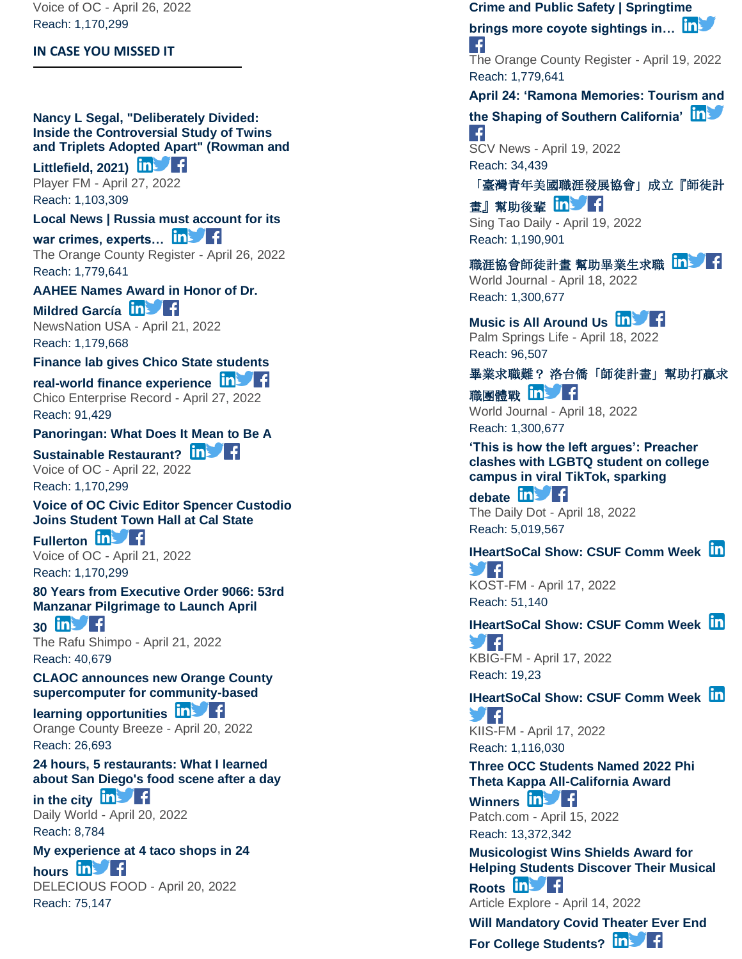Voice of OC - April 26, 2022 Reach: 1,170,299

#### **IN CASE YOU MISSED IT**

#### **[Nancy L Segal, "Deliberately Divided:](https://app.meltwater.com/mwTransition/?url=https%3A%2F%2Fplayer.fm%2Fseries%2Fnew-books-in-science-technology-and-society-2421425%2Fnancy-l-segal-deliberately-divided-inside-the-controversial-study-of-twins-and-triplets-adopted-apart-rowman-and-littlefield-2021&uId=56799af389db0b74099dc16f&cId=5542641db933d37e9596dc54&dId=Y4IxX5TTFeh3PheEqm8fdhB_Os8&contextId=624ce4d4416c2a0013c6c00f&op=open&sentiment=N&isHosted=false&publishTime=1651046400000&id=&name=&type=&transitionToken=eyJ0eXAiOiJKV1QiLCJhbGciOiJIUzUxMiJ9.eyJob3N0bmFtZSI6InBsYXllci5mbSJ9.0fYbrneXgQuH-ntYyekBoZb8pZldC9wk2PTqOdFgYNk9nkcUpE05GmolJzrr3qysn7GVfC1X48xEbPO0iAIr1w&s=mail-newsletter)  [Inside the Controversial Study of Twins](https://app.meltwater.com/mwTransition/?url=https%3A%2F%2Fplayer.fm%2Fseries%2Fnew-books-in-science-technology-and-society-2421425%2Fnancy-l-segal-deliberately-divided-inside-the-controversial-study-of-twins-and-triplets-adopted-apart-rowman-and-littlefield-2021&uId=56799af389db0b74099dc16f&cId=5542641db933d37e9596dc54&dId=Y4IxX5TTFeh3PheEqm8fdhB_Os8&contextId=624ce4d4416c2a0013c6c00f&op=open&sentiment=N&isHosted=false&publishTime=1651046400000&id=&name=&type=&transitionToken=eyJ0eXAiOiJKV1QiLCJhbGciOiJIUzUxMiJ9.eyJob3N0bmFtZSI6InBsYXllci5mbSJ9.0fYbrneXgQuH-ntYyekBoZb8pZldC9wk2PTqOdFgYNk9nkcUpE05GmolJzrr3qysn7GVfC1X48xEbPO0iAIr1w&s=mail-newsletter)  [and Triplets Adopted Apart" \(Rowman and](https://app.meltwater.com/mwTransition/?url=https%3A%2F%2Fplayer.fm%2Fseries%2Fnew-books-in-science-technology-and-society-2421425%2Fnancy-l-segal-deliberately-divided-inside-the-controversial-study-of-twins-and-triplets-adopted-apart-rowman-and-littlefield-2021&uId=56799af389db0b74099dc16f&cId=5542641db933d37e9596dc54&dId=Y4IxX5TTFeh3PheEqm8fdhB_Os8&contextId=624ce4d4416c2a0013c6c00f&op=open&sentiment=N&isHosted=false&publishTime=1651046400000&id=&name=&type=&transitionToken=eyJ0eXAiOiJKV1QiLCJhbGciOiJIUzUxMiJ9.eyJob3N0bmFtZSI6InBsYXllci5mbSJ9.0fYbrneXgQuH-ntYyekBoZb8pZldC9wk2PTqOdFgYNk9nkcUpE05GmolJzrr3qysn7GVfC1X48xEbPO0iAIr1w&s=mail-newsletter)**

**[Littlefield, 2021\)](https://app.meltwater.com/mwTransition/?url=https%3A%2F%2Fplayer.fm%2Fseries%2Fnew-books-in-science-technology-and-society-2421425%2Fnancy-l-segal-deliberately-divided-inside-the-controversial-study-of-twins-and-triplets-adopted-apart-rowman-and-littlefield-2021&uId=56799af389db0b74099dc16f&cId=5542641db933d37e9596dc54&dId=Y4IxX5TTFeh3PheEqm8fdhB_Os8&contextId=624ce4d4416c2a0013c6c00f&op=open&sentiment=N&isHosted=false&publishTime=1651046400000&id=&name=&type=&transitionToken=eyJ0eXAiOiJKV1QiLCJhbGciOiJIUzUxMiJ9.eyJob3N0bmFtZSI6InBsYXllci5mbSJ9.0fYbrneXgQuH-ntYyekBoZb8pZldC9wk2PTqOdFgYNk9nkcUpE05GmolJzrr3qysn7GVfC1X48xEbPO0iAIr1w&s=mail-newsletter)**

Player FM - April 27, 2022 Reach: 1,103,309

# **[Local News | Russia must account for its](https://app.meltwater.com/mwTransition/?url=https%3A%2F%2Fwww.ocregister.com%2F2022%2F04%2F26%2Frussia-must-account-for-its-war-crimes-experts-say%2F&uId=56799af389db0b74099dc16f&cId=5542641db933d37e9596dc54&dId=J8Rj0umMyNXzIFL9cIWgNSvPZ_I&contextId=624ce4d4416c2a0013c6c00f&op=open&sentiment=N&isHosted=false&publishTime=1650976432000&id=&name=&type=&transitionToken=eyJ0eXAiOiJKV1QiLCJhbGciOiJIUzUxMiJ9.eyJob3N0bmFtZSI6Ind3dy5vY3JlZ2lzdGVyLmNvbSJ9.y_7oUPeo-od2rN21pgqRNiBnDNqzhgKcSu2o9V6JTUrEHivAY1lg6kijTp_ZXee0fM7D3yIO_doLiJfE-DH-og&s=mail-newsletter)**

war crimes, experts... **inverted** The Orange County Register - April 26, 2022 Reach: 1,779,641

#### **[AAHEE Names Award in Honor of Dr.](https://app.meltwater.com/mwTransition/?url=https%3A%2F%2Fnewsnationusa.com%2Fnews%2Feducation%2Faahee-names-award-in-honor-of-dr-mildred-garcia%2F&uId=56799af389db0b74099dc16f&cId=5542641db933d37e9596dc54&dId=Y6pZ8Rv4gfunLMmbDlmdGR7ct_4&contextId=624ce4d4416c2a0013c6c00f&op=open&sentiment=N&isHosted=false&publishTime=1650572596000&id=&name=&type=&transitionToken=eyJ0eXAiOiJKV1QiLCJhbGciOiJIUzUxMiJ9.eyJob3N0bmFtZSI6Im5ld3NuYXRpb251c2EuY29tIn0.hEbyXynu3hT5nYMjvSmJTWK1MWYa56Vekv6CMhXLmwe1amVBm2r8KSY43_W6JQJ6RauiG_iCkhVpo51cGczQ-g&s=mail-newsletter)**

**[Mildred García](https://app.meltwater.com/mwTransition/?url=https%3A%2F%2Fnewsnationusa.com%2Fnews%2Feducation%2Faahee-names-award-in-honor-of-dr-mildred-garcia%2F&uId=56799af389db0b74099dc16f&cId=5542641db933d37e9596dc54&dId=Y6pZ8Rv4gfunLMmbDlmdGR7ct_4&contextId=624ce4d4416c2a0013c6c00f&op=open&sentiment=N&isHosted=false&publishTime=1650572596000&id=&name=&type=&transitionToken=eyJ0eXAiOiJKV1QiLCJhbGciOiJIUzUxMiJ9.eyJob3N0bmFtZSI6Im5ld3NuYXRpb251c2EuY29tIn0.hEbyXynu3hT5nYMjvSmJTWK1MWYa56Vekv6CMhXLmwe1amVBm2r8KSY43_W6JQJ6RauiG_iCkhVpo51cGczQ-g&s=mail-newsletter)** NewsNation USA - April 21, 2022 Reach: 1,179,668

#### **[Finance lab gives Chico State students](https://app.meltwater.com/mwTransition/?url=https%3A%2F%2Fwww.chicoer.com%2F2022%2F04%2F27%2Ffintech-lab-gives-students-real-world-finance-experience%2F&uId=56799af389db0b74099dc16f&cId=5542641db933d37e9596dc54&dId=TMdrZFR6xZD1LXwrzgWPvcRdfNE&contextId=624ce4d4416c2a0013c6c00f&op=open&sentiment=N&isHosted=false&publishTime=1651059024000&id=&name=&type=&transitionToken=eyJ0eXAiOiJKV1QiLCJhbGciOiJIUzUxMiJ9.eyJob3N0bmFtZSI6Ind3dy5jaGljb2VyLmNvbSJ9.PDeMrfFKtJnpR8BlJ6F1ON-RjHlipt3LLmTHSkw1x-gVMycHtsa1sNDAiE5hwsz5PbosAUa2BDzMIQD3Jkgs6w&s=mail-newsletter)**

**real [-world finance experience](https://app.meltwater.com/mwTransition/?url=https%3A%2F%2Fwww.chicoer.com%2F2022%2F04%2F27%2Ffintech-lab-gives-students-real-world-finance-experience%2F&uId=56799af389db0b74099dc16f&cId=5542641db933d37e9596dc54&dId=TMdrZFR6xZD1LXwrzgWPvcRdfNE&contextId=624ce4d4416c2a0013c6c00f&op=open&sentiment=N&isHosted=false&publishTime=1651059024000&id=&name=&type=&transitionToken=eyJ0eXAiOiJKV1QiLCJhbGciOiJIUzUxMiJ9.eyJob3N0bmFtZSI6Ind3dy5jaGljb2VyLmNvbSJ9.PDeMrfFKtJnpR8BlJ6F1ON-RjHlipt3LLmTHSkw1x-gVMycHtsa1sNDAiE5hwsz5PbosAUa2BDzMIQD3Jkgs6w&s=mail-newsletter)** Chico Enterprise Record - April 27, 2022 Reach: 91,429

#### **[Panoringan: What Does It Mean to Be A](https://app.meltwater.com/mwTransition/?url=https%3A%2F%2Fvoiceofoc.org%2F2022%2F04%2Fpanoringan-what-does-it-mean-to-be-a-sustainable-restaurant%2F&uId=56799af389db0b74099dc16f&cId=5542641db933d37e9596dc54&dId=aNEFcppfjjof1PfX-d_ZiZWDxjk&contextId=624ce4d4416c2a0013c6c00f&op=open&sentiment=N&isHosted=false&publishTime=1650635880000&id=&name=&type=&transitionToken=eyJ0eXAiOiJKV1QiLCJhbGciOiJIUzUxMiJ9.eyJob3N0bmFtZSI6InZvaWNlb2ZvYy5vcmcifQ.denipMR4WfLfAOCvU2LrhWVZTcO372t45F6txwKTn69Ir6o3A6mUq4ooVXVOqokZ_2d49cNDiOC8oWInn5AdHw&s=mail-newsletter)**

**[Sustainable Restaurant?](https://app.meltwater.com/mwTransition/?url=https%3A%2F%2Fvoiceofoc.org%2F2022%2F04%2Fpanoringan-what-does-it-mean-to-be-a-sustainable-restaurant%2F&uId=56799af389db0b74099dc16f&cId=5542641db933d37e9596dc54&dId=aNEFcppfjjof1PfX-d_ZiZWDxjk&contextId=624ce4d4416c2a0013c6c00f&op=open&sentiment=N&isHosted=false&publishTime=1650635880000&id=&name=&type=&transitionToken=eyJ0eXAiOiJKV1QiLCJhbGciOiJIUzUxMiJ9.eyJob3N0bmFtZSI6InZvaWNlb2ZvYy5vcmcifQ.denipMR4WfLfAOCvU2LrhWVZTcO372t45F6txwKTn69Ir6o3A6mUq4ooVXVOqokZ_2d49cNDiOC8oWInn5AdHw&s=mail-newsletter) In Set** Voice of OC - April 22, 2022 Reach: 1,170,299

#### **[Voice of OC Civic Editor Spencer Custodio](https://app.meltwater.com/mwTransition/?url=https%3A%2F%2Fvoiceofoc.org%2F2022%2F04%2Fvoice-of-oc-civic-editor-spencer-custodio-joins-student-town-hall-at-cal-state-fullerton%2F&uId=56799af389db0b74099dc16f&cId=5542641db933d37e9596dc54&dId=47dfbMdngyLkD50cdTH7Nogi7qk&contextId=624ce4d4416c2a0013c6c00f&op=open&sentiment=N&isHosted=false&publishTime=1650574150000&id=&name=&type=&transitionToken=eyJ0eXAiOiJKV1QiLCJhbGciOiJIUzUxMiJ9.eyJob3N0bmFtZSI6InZvaWNlb2ZvYy5vcmcifQ.denipMR4WfLfAOCvU2LrhWVZTcO372t45F6txwKTn69Ir6o3A6mUq4ooVXVOqokZ_2d49cNDiOC8oWInn5AdHw&s=mail-newsletter)  [Joins Student Town Hall at Cal State](https://app.meltwater.com/mwTransition/?url=https%3A%2F%2Fvoiceofoc.org%2F2022%2F04%2Fvoice-of-oc-civic-editor-spencer-custodio-joins-student-town-hall-at-cal-state-fullerton%2F&uId=56799af389db0b74099dc16f&cId=5542641db933d37e9596dc54&dId=47dfbMdngyLkD50cdTH7Nogi7qk&contextId=624ce4d4416c2a0013c6c00f&op=open&sentiment=N&isHosted=false&publishTime=1650574150000&id=&name=&type=&transitionToken=eyJ0eXAiOiJKV1QiLCJhbGciOiJIUzUxMiJ9.eyJob3N0bmFtZSI6InZvaWNlb2ZvYy5vcmcifQ.denipMR4WfLfAOCvU2LrhWVZTcO372t45F6txwKTn69Ir6o3A6mUq4ooVXVOqokZ_2d49cNDiOC8oWInn5AdHw&s=mail-newsletter)**

**[Fullerton](https://app.meltwater.com/mwTransition/?url=https%3A%2F%2Fvoiceofoc.org%2F2022%2F04%2Fvoice-of-oc-civic-editor-spencer-custodio-joins-student-town-hall-at-cal-state-fullerton%2F&uId=56799af389db0b74099dc16f&cId=5542641db933d37e9596dc54&dId=47dfbMdngyLkD50cdTH7Nogi7qk&contextId=624ce4d4416c2a0013c6c00f&op=open&sentiment=N&isHosted=false&publishTime=1650574150000&id=&name=&type=&transitionToken=eyJ0eXAiOiJKV1QiLCJhbGciOiJIUzUxMiJ9.eyJob3N0bmFtZSI6InZvaWNlb2ZvYy5vcmcifQ.denipMR4WfLfAOCvU2LrhWVZTcO372t45F6txwKTn69Ir6o3A6mUq4ooVXVOqokZ_2d49cNDiOC8oWInn5AdHw&s=mail-newsletter) In Fig.** Voice of OC - April 21, 2022

Reach: 1,170,299

#### **[80 Years from Executive Order 9066: 53rd](https://app.meltwater.com/mwTransition/?url=https%3A%2F%2Frafu.com%2F2022%2F04%2F80-years-from-executive-order-9066-53rd-manzanar-pilgrimage-to-launch-april-30%2F&uId=56799af389db0b74099dc16f&cId=5542641db933d37e9596dc54&dId=yUGynyrSLnIdtZ2jIqMSN_OmTA0&contextId=624ce4d4416c2a0013c6c00f&op=open&sentiment=N&isHosted=false&publishTime=1650559677000&id=&name=&type=&transitionToken=eyJ0eXAiOiJKV1QiLCJhbGciOiJIUzUxMiJ9.eyJob3N0bmFtZSI6InJhZnUuY29tIn0.Fc2WKI2vtXme-V2IeXrRj1f0h7lO0A-a0RhZlaHTX6MglkM93FWfEq5VeC9ra6O00qlzfutABhPDJ0Z49CzpQA&s=mail-newsletter)  [Manzanar Pilgrimage to Launch April](https://app.meltwater.com/mwTransition/?url=https%3A%2F%2Frafu.com%2F2022%2F04%2F80-years-from-executive-order-9066-53rd-manzanar-pilgrimage-to-launch-april-30%2F&uId=56799af389db0b74099dc16f&cId=5542641db933d37e9596dc54&dId=yUGynyrSLnIdtZ2jIqMSN_OmTA0&contextId=624ce4d4416c2a0013c6c00f&op=open&sentiment=N&isHosted=false&publishTime=1650559677000&id=&name=&type=&transitionToken=eyJ0eXAiOiJKV1QiLCJhbGciOiJIUzUxMiJ9.eyJob3N0bmFtZSI6InJhZnUuY29tIn0.Fc2WKI2vtXme-V2IeXrRj1f0h7lO0A-a0RhZlaHTX6MglkM93FWfEq5VeC9ra6O00qlzfutABhPDJ0Z49CzpQA&s=mail-newsletter)**

**[30](https://app.meltwater.com/mwTransition/?url=https%3A%2F%2Frafu.com%2F2022%2F04%2F80-years-from-executive-order-9066-53rd-manzanar-pilgrimage-to-launch-april-30%2F&uId=56799af389db0b74099dc16f&cId=5542641db933d37e9596dc54&dId=yUGynyrSLnIdtZ2jIqMSN_OmTA0&contextId=624ce4d4416c2a0013c6c00f&op=open&sentiment=N&isHosted=false&publishTime=1650559677000&id=&name=&type=&transitionToken=eyJ0eXAiOiJKV1QiLCJhbGciOiJIUzUxMiJ9.eyJob3N0bmFtZSI6InJhZnUuY29tIn0.Fc2WKI2vtXme-V2IeXrRj1f0h7lO0A-a0RhZlaHTX6MglkM93FWfEq5VeC9ra6O00qlzfutABhPDJ0Z49CzpQA&s=mail-newsletter) in** The Rafu Shimpo - April 21, 2022 Reach: 40,679

#### **[CLAOC announces new Orange County](https://app.meltwater.com/mwTransition/?url=https%3A%2F%2Fwww.oc-breeze.com%2F2022%2F04%2F20%2F212110_claoc-announces-new-orange-county-supercomputer-for-community-based-learning-opportunities%2F&uId=56799af389db0b74099dc16f&cId=5542641db933d37e9596dc54&dId=B4Zlg78pPmL75Cnze77fNRcCYgU&contextId=624ce4d4416c2a0013c6c00f&op=open&sentiment=P&isHosted=false&publishTime=1650495674000&id=&name=&type=&transitionToken=eyJ0eXAiOiJKV1QiLCJhbGciOiJIUzUxMiJ9.eyJob3N0bmFtZSI6Ind3dy5vYy1icmVlemUuY29tIn0.L5n0a7wGkCIbsS7HPBoOVay31p2l9MuaZC_U2GDzmBjcRRbddCpc3Y1v0LUmC_u5Pc0B1_tVUjBagDa-_XCQzQ&s=mail-newsletter)  [supercomputer for community](https://app.meltwater.com/mwTransition/?url=https%3A%2F%2Fwww.oc-breeze.com%2F2022%2F04%2F20%2F212110_claoc-announces-new-orange-county-supercomputer-for-community-based-learning-opportunities%2F&uId=56799af389db0b74099dc16f&cId=5542641db933d37e9596dc54&dId=B4Zlg78pPmL75Cnze77fNRcCYgU&contextId=624ce4d4416c2a0013c6c00f&op=open&sentiment=P&isHosted=false&publishTime=1650495674000&id=&name=&type=&transitionToken=eyJ0eXAiOiJKV1QiLCJhbGciOiJIUzUxMiJ9.eyJob3N0bmFtZSI6Ind3dy5vYy1icmVlemUuY29tIn0.L5n0a7wGkCIbsS7HPBoOVay31p2l9MuaZC_U2GDzmBjcRRbddCpc3Y1v0LUmC_u5Pc0B1_tVUjBagDa-_XCQzQ&s=mail-newsletter) -based**

**[learning opportunities](https://app.meltwater.com/mwTransition/?url=https%3A%2F%2Fwww.oc-breeze.com%2F2022%2F04%2F20%2F212110_claoc-announces-new-orange-county-supercomputer-for-community-based-learning-opportunities%2F&uId=56799af389db0b74099dc16f&cId=5542641db933d37e9596dc54&dId=B4Zlg78pPmL75Cnze77fNRcCYgU&contextId=624ce4d4416c2a0013c6c00f&op=open&sentiment=P&isHosted=false&publishTime=1650495674000&id=&name=&type=&transitionToken=eyJ0eXAiOiJKV1QiLCJhbGciOiJIUzUxMiJ9.eyJob3N0bmFtZSI6Ind3dy5vYy1icmVlemUuY29tIn0.L5n0a7wGkCIbsS7HPBoOVay31p2l9MuaZC_U2GDzmBjcRRbddCpc3Y1v0LUmC_u5Pc0B1_tVUjBagDa-_XCQzQ&s=mail-newsletter)** 

Orange County Breeze - April 20, 2022 Reach: 26,693

## **[24 hours, 5 restaurants: What I learned](https://app.meltwater.com/mwTransition/?url=https%3A%2F%2Feu.dailyworld.com%2Fstory%2Ftravel%2Fdestinations%2F2022%2F04%2F20%2Fsan-diego-food-trip-tacos%2F7306749001%2F&uId=56799af389db0b74099dc16f&cId=5542641db933d37e9596dc54&dId=ImTznz0Zd5UXi_McvNdHYGh4bPU&contextId=624ce4d4416c2a0013c6c00f&op=open&sentiment=N&isHosted=false&publishTime=1650448664371&id=&name=&type=&transitionToken=eyJ0eXAiOiJKV1QiLCJhbGciOiJIUzUxMiJ9.eyJob3N0bmFtZSI6ImV1LmRhaWx5d29ybGQuY29tIn0.dVMJA7W8lA3B-tSXYqE4T4njutrsAR7udZ9KYYRXKmgd1OgMf4157U1QocCIvXo3UG7Tyd-P4xQyvpsgb_a04A&s=mail-newsletter)  [about San Diego's food scene after a day](https://app.meltwater.com/mwTransition/?url=https%3A%2F%2Feu.dailyworld.com%2Fstory%2Ftravel%2Fdestinations%2F2022%2F04%2F20%2Fsan-diego-food-trip-tacos%2F7306749001%2F&uId=56799af389db0b74099dc16f&cId=5542641db933d37e9596dc54&dId=ImTznz0Zd5UXi_McvNdHYGh4bPU&contextId=624ce4d4416c2a0013c6c00f&op=open&sentiment=N&isHosted=false&publishTime=1650448664371&id=&name=&type=&transitionToken=eyJ0eXAiOiJKV1QiLCJhbGciOiJIUzUxMiJ9.eyJob3N0bmFtZSI6ImV1LmRhaWx5d29ybGQuY29tIn0.dVMJA7W8lA3B-tSXYqE4T4njutrsAR7udZ9KYYRXKmgd1OgMf4157U1QocCIvXo3UG7Tyd-P4xQyvpsgb_a04A&s=mail-newsletter)**

**[in the city](https://app.meltwater.com/mwTransition/?url=https%3A%2F%2Feu.dailyworld.com%2Fstory%2Ftravel%2Fdestinations%2F2022%2F04%2F20%2Fsan-diego-food-trip-tacos%2F7306749001%2F&uId=56799af389db0b74099dc16f&cId=5542641db933d37e9596dc54&dId=ImTznz0Zd5UXi_McvNdHYGh4bPU&contextId=624ce4d4416c2a0013c6c00f&op=open&sentiment=N&isHosted=false&publishTime=1650448664371&id=&name=&type=&transitionToken=eyJ0eXAiOiJKV1QiLCJhbGciOiJIUzUxMiJ9.eyJob3N0bmFtZSI6ImV1LmRhaWx5d29ybGQuY29tIn0.dVMJA7W8lA3B-tSXYqE4T4njutrsAR7udZ9KYYRXKmgd1OgMf4157U1QocCIvXo3UG7Tyd-P4xQyvpsgb_a04A&s=mail-newsletter) in** Daily World - April 20, 2022 Reach: 8,784

#### **[My experience at 4 taco shops in 24](https://app.meltwater.com/mwTransition/?url=https%3A%2F%2Fdeleciousfood.com%2Fmy-experience-at-4-taco-shops-in-24-hours%2F&uId=56799af389db0b74099dc16f&cId=5542641db933d37e9596dc54&dId=LscXCwLrIrMOFEmaZhABmnKGdKg&contextId=624ce4d4416c2a0013c6c00f&op=open&sentiment=N&isHosted=false&publishTime=1650447236000&id=&name=&type=&transitionToken=eyJ0eXAiOiJKV1QiLCJhbGciOiJIUzUxMiJ9.eyJob3N0bmFtZSI6ImRlbGVjaW91c2Zvb2QuY29tIn0.mSYylEvArwHyAvIvUw0Qfe4P9qsBLOw5jGRK-Y3UERSdsd_q7iY8W7Ps0eYRDi3rTcPlsjeX51-64EubWby4ew&s=mail-newsletter)**

[hours](https://app.meltwater.com/mwTransition/?url=https%3A%2F%2Fdeleciousfood.com%2Fmy-experience-at-4-taco-shops-in-24-hours%2F&uId=56799af389db0b74099dc16f&cId=5542641db933d37e9596dc54&dId=LscXCwLrIrMOFEmaZhABmnKGdKg&contextId=624ce4d4416c2a0013c6c00f&op=open&sentiment=N&isHosted=false&publishTime=1650447236000&id=&name=&type=&transitionToken=eyJ0eXAiOiJKV1QiLCJhbGciOiJIUzUxMiJ9.eyJob3N0bmFtZSI6ImRlbGVjaW91c2Zvb2QuY29tIn0.mSYylEvArwHyAvIvUw0Qfe4P9qsBLOw5jGRK-Y3UERSdsd_q7iY8W7Ps0eYRDi3rTcPlsjeX51-64EubWby4ew&s=mail-newsletter) in f DELECIOUS FOOD - April 20, 2022 Reach: 75,147

#### **[Crime and Public Safety | Springtime](https://app.meltwater.com/mwTransition/?url=https%3A%2F%2Fwww.ocregister.com%2F2022%2F04%2F19%2Fspringtime-brings-more-coyote-sightings-in-california-heres-how-to-prevent-dangerous-interactions-with-the-animals%2F&uId=56799af389db0b74099dc16f&cId=5542641db933d37e9596dc54&dId=jm88Gs0SGlWYnmq8aWMtiYuOpeM&contextId=624ce4d4416c2a0013c6c00f&op=open&sentiment=V&isHosted=false&publishTime=1650414551000&id=&name=&type=&transitionToken=eyJ0eXAiOiJKV1QiLCJhbGciOiJIUzUxMiJ9.eyJob3N0bmFtZSI6Ind3dy5vY3JlZ2lzdGVyLmNvbSJ9.y_7oUPeo-od2rN21pgqRNiBnDNqzhgKcSu2o9V6JTUrEHivAY1lg6kijTp_ZXee0fM7D3yIO_doLiJfE-DH-og&s=mail-newsletter)**

**[brings more coyote sightings in…](https://app.meltwater.com/mwTransition/?url=https%3A%2F%2Fwww.ocregister.com%2F2022%2F04%2F19%2Fspringtime-brings-more-coyote-sightings-in-california-heres-how-to-prevent-dangerous-interactions-with-the-animals%2F&uId=56799af389db0b74099dc16f&cId=5542641db933d37e9596dc54&dId=jm88Gs0SGlWYnmq8aWMtiYuOpeM&contextId=624ce4d4416c2a0013c6c00f&op=open&sentiment=V&isHosted=false&publishTime=1650414551000&id=&name=&type=&transitionToken=eyJ0eXAiOiJKV1QiLCJhbGciOiJIUzUxMiJ9.eyJob3N0bmFtZSI6Ind3dy5vY3JlZ2lzdGVyLmNvbSJ9.y_7oUPeo-od2rN21pgqRNiBnDNqzhgKcSu2o9V6JTUrEHivAY1lg6kijTp_ZXee0fM7D3yIO_doLiJfE-DH-og&s=mail-newsletter)**

The Orange County Register - April 19, 2022 Reach: 1,779,641

**[April 24: 'Ramona Memories: Tourism and](https://app.meltwater.com/mwTransition/?url=https%3A%2F%2Fscvnews.com%2Fapril-24-ramona-memories-tourism-and-the-shaping-of-southern-california%2F&uId=56799af389db0b74099dc16f&cId=5542641db933d37e9596dc54&dId=TWl3Grsfd6qPELAN7ztYvUGPDcQ&contextId=624ce4d4416c2a0013c6c00f&op=open&sentiment=N&isHosted=false&publishTime=1650410431097&id=&name=&type=&transitionToken=eyJ0eXAiOiJKV1QiLCJhbGciOiJIUzUxMiJ9.eyJob3N0bmFtZSI6InNjdm5ld3MuY29tIn0.u8kfyNGpZQQnSfZ7La6-kBzXqdurv2qIOASqEQegu65buD_q2iFQCzy4NHv16U7d4GU898TqhK2KEHVpU2OArg&s=mail-newsletter)** 

#### **[the Shaping of Southern California'](https://app.meltwater.com/mwTransition/?url=https%3A%2F%2Fscvnews.com%2Fapril-24-ramona-memories-tourism-and-the-shaping-of-southern-california%2F&uId=56799af389db0b74099dc16f&cId=5542641db933d37e9596dc54&dId=TWl3Grsfd6qPELAN7ztYvUGPDcQ&contextId=624ce4d4416c2a0013c6c00f&op=open&sentiment=N&isHosted=false&publishTime=1650410431097&id=&name=&type=&transitionToken=eyJ0eXAiOiJKV1QiLCJhbGciOiJIUzUxMiJ9.eyJob3N0bmFtZSI6InNjdm5ld3MuY29tIn0.u8kfyNGpZQQnSfZ7La6-kBzXqdurv2qIOASqEQegu65buD_q2iFQCzy4NHv16U7d4GU898TqhK2KEHVpU2OArg&s=mail-newsletter)**  $\mathcal{L}$

SCV News - April 19, 2022 Reach: 34,439

### [「臺灣青年美國職涯發展協會」成立『師徒計](https://app.meltwater.com/mwTransition/?url=https%3A%2F%2Fwww.singtaousa.com%2F2022-04-19%2F%25e3%2580%258c%25e8%2587%25ba%25e7%2581%25a3%25e9%259d%2592%25e5%25b9%25b4%25e7%25be%258e%25e5%259c%258b%25e8%2581%25b7%25e6%25b6%25af%25e7%2599%25bc%25e5%25b1%2595%25e5%258d%2594%25e6%259c%2583%25e3%2580%258d%25e6%2588%2590%25e7%25ab%258b%25e3%2580%258e%25e5%25b8%25ab%25e5%25be%2592%25e8%25a8%2588%25e7%2595%25ab%25e3%2580%258f%2F4037245&uId=56799af389db0b74099dc16f&cId=5542641db933d37e9596dc54&dId=aAX9W6Ddp5WNdFLmthVieYJFytk&contextId=624ce4d4416c2a0013c6c00f&op=open&sentiment=N&isHosted=false&publishTime=1650399789000&id=&name=&type=&transitionToken=eyJ0eXAiOiJKV1QiLCJhbGciOiJIUzUxMiJ9.eyJob3N0bmFtZSI6Ind3dy5zaW5ndGFvdXNhLmNvbSJ9.MVzZXzbVM2YmL4ad8_xULyjL-KCo56U_klBzoQUIKU2srRkANEweZus3utHOf7fhnqHOfPBjn78nL-2EFRtAWQ&s=mail-newsletter)

[畫』幫助後輩](https://app.meltwater.com/mwTransition/?url=https%3A%2F%2Fwww.singtaousa.com%2F2022-04-19%2F%25e3%2580%258c%25e8%2587%25ba%25e7%2581%25a3%25e9%259d%2592%25e5%25b9%25b4%25e7%25be%258e%25e5%259c%258b%25e8%2581%25b7%25e6%25b6%25af%25e7%2599%25bc%25e5%25b1%2595%25e5%258d%2594%25e6%259c%2583%25e3%2580%258d%25e6%2588%2590%25e7%25ab%258b%25e3%2580%258e%25e5%25b8%25ab%25e5%25be%2592%25e8%25a8%2588%25e7%2595%25ab%25e3%2580%258f%2F4037245&uId=56799af389db0b74099dc16f&cId=5542641db933d37e9596dc54&dId=aAX9W6Ddp5WNdFLmthVieYJFytk&contextId=624ce4d4416c2a0013c6c00f&op=open&sentiment=N&isHosted=false&publishTime=1650399789000&id=&name=&type=&transitionToken=eyJ0eXAiOiJKV1QiLCJhbGciOiJIUzUxMiJ9.eyJob3N0bmFtZSI6Ind3dy5zaW5ndGFvdXNhLmNvbSJ9.MVzZXzbVM2YmL4ad8_xULyjL-KCo56U_klBzoQUIKU2srRkANEweZus3utHOf7fhnqHOfPBjn78nL-2EFRtAWQ&s=mail-newsletter) InVT Sing Tao Daily - April 19, 2022 Reach: 1,190,901

[職涯協會師徒計畫](https://app.meltwater.com/mwTransition/?url=https%3A%2F%2Fwww.worldjournal.com%2Fwj%2Fstory%2F121359%2F6249763&uId=56799af389db0b74099dc16f&cId=5542641db933d37e9596dc54&dId=W0k160Bcs_P4eHCvvP8VSzv1A2w&contextId=624ce4d4416c2a0013c6c00f&op=open&sentiment=N&isHosted=false&publishTime=1650348302000&id=&name=&type=&transitionToken=eyJ0eXAiOiJKV1QiLCJhbGciOiJIUzUxMiJ9.eyJob3N0bmFtZSI6Ind3dy53b3JsZGpvdXJuYWwuY29tIn0.5iB49RDbJtnS95TrizDcB2boKag8rKd_epi3Jgj3xxgJvZY_MjOlQzd0rVLj_HSkZew0lkyf08m40dnhDM3u3w&s=mail-newsletter) 幫助畢業生求職 In World Journal - April 18, 2022 Reach: 1,300,677

# **[Music is All Around Us](https://app.meltwater.com/mwTransition/?url=https%3A%2F%2Fwww.palmspringslife.com%2Fsoundcheckearth-2022-joshua-tree%2F&uId=56799af389db0b74099dc16f&cId=5542641db933d37e9596dc54&dId=xsdoWw_1HKF_iZyTJ1ohEl0Uh_A&contextId=624ce4d4416c2a0013c6c00f&op=open&sentiment=N&isHosted=false&publishTime=1650339287000&id=&name=&type=&transitionToken=eyJ0eXAiOiJKV1QiLCJhbGciOiJIUzUxMiJ9.eyJob3N0bmFtZSI6Ind3dy5wYWxtc3ByaW5nc2xpZmUuY29tIn0.-0K3Fq3KVhqGJgrPAbHzXeMB9BjFPTQSeWtC08gwLYs_eG2lpVCr4XlyRV3SGSUK2J9sB6oOb5-wYNDlI82ZRg&s=mail-newsletter)**

Palm Springs Life - April 18, 2022 Reach: 96,507

#### 畢業求職難? [洛台僑「師徒計畫」幫助打贏求](https://app.meltwater.com/mwTransition/?url=https%3A%2F%2Fwww.worldjournal.com%2Fwj%2Fstory%2F121471%2F6249163&uId=56799af389db0b74099dc16f&cId=5542641db933d37e9596dc54&dId=RVgMh5f9CQKuw-4XBmTFT0o6D5k&contextId=624ce4d4416c2a0013c6c00f&op=open&sentiment=N&isHosted=false&publishTime=1650309789000&id=&name=&type=&transitionToken=eyJ0eXAiOiJKV1QiLCJhbGciOiJIUzUxMiJ9.eyJob3N0bmFtZSI6Ind3dy53b3JsZGpvdXJuYWwuY29tIn0.5iB49RDbJtnS95TrizDcB2boKag8rKd_epi3Jgj3xxgJvZY_MjOlQzd0rVLj_HSkZew0lkyf08m40dnhDM3u3w&s=mail-newsletter)

# [職團體戰](https://app.meltwater.com/mwTransition/?url=https%3A%2F%2Fwww.worldjournal.com%2Fwj%2Fstory%2F121471%2F6249163&uId=56799af389db0b74099dc16f&cId=5542641db933d37e9596dc54&dId=RVgMh5f9CQKuw-4XBmTFT0o6D5k&contextId=624ce4d4416c2a0013c6c00f&op=open&sentiment=N&isHosted=false&publishTime=1650309789000&id=&name=&type=&transitionToken=eyJ0eXAiOiJKV1QiLCJhbGciOiJIUzUxMiJ9.eyJob3N0bmFtZSI6Ind3dy53b3JsZGpvdXJuYWwuY29tIn0.5iB49RDbJtnS95TrizDcB2boKag8rKd_epi3Jgj3xxgJvZY_MjOlQzd0rVLj_HSkZew0lkyf08m40dnhDM3u3w&s=mail-newsletter) in 1

World Journal - April 18, 2022 Reach: 1,300,677

**['This is how the left argues': Preacher](https://app.meltwater.com/mwTransition/?url=https%3A%2F%2Fwww.dailydot.com%2Firl%2Fstudent-preacher-lgbtq-debtae%2F&uId=56799af389db0b74099dc16f&cId=5542641db933d37e9596dc54&dId=Sv9AyN2Rhze67hzuTj8fFsSp2fU&contextId=624ce4d4416c2a0013c6c00f&op=open&sentiment=N&isHosted=false&publishTime=1650307399000&id=&name=&type=&transitionToken=eyJ0eXAiOiJKV1QiLCJhbGciOiJIUzUxMiJ9.eyJob3N0bmFtZSI6Ind3dy5kYWlseWRvdC5jb20ifQ.Zr3KmwsOusmI8RpINzZq9JguK6lfYx6ymqFScKmlhCsZbIik1iitBp85lKTAADK7Za9BblQotQi6fZAiBxBs_Q&s=mail-newsletter)  [clashes with LGBTQ student on college](https://app.meltwater.com/mwTransition/?url=https%3A%2F%2Fwww.dailydot.com%2Firl%2Fstudent-preacher-lgbtq-debtae%2F&uId=56799af389db0b74099dc16f&cId=5542641db933d37e9596dc54&dId=Sv9AyN2Rhze67hzuTj8fFsSp2fU&contextId=624ce4d4416c2a0013c6c00f&op=open&sentiment=N&isHosted=false&publishTime=1650307399000&id=&name=&type=&transitionToken=eyJ0eXAiOiJKV1QiLCJhbGciOiJIUzUxMiJ9.eyJob3N0bmFtZSI6Ind3dy5kYWlseWRvdC5jb20ifQ.Zr3KmwsOusmI8RpINzZq9JguK6lfYx6ymqFScKmlhCsZbIik1iitBp85lKTAADK7Za9BblQotQi6fZAiBxBs_Q&s=mail-newsletter)  [campus in viral TikTok, sparking](https://app.meltwater.com/mwTransition/?url=https%3A%2F%2Fwww.dailydot.com%2Firl%2Fstudent-preacher-lgbtq-debtae%2F&uId=56799af389db0b74099dc16f&cId=5542641db933d37e9596dc54&dId=Sv9AyN2Rhze67hzuTj8fFsSp2fU&contextId=624ce4d4416c2a0013c6c00f&op=open&sentiment=N&isHosted=false&publishTime=1650307399000&id=&name=&type=&transitionToken=eyJ0eXAiOiJKV1QiLCJhbGciOiJIUzUxMiJ9.eyJob3N0bmFtZSI6Ind3dy5kYWlseWRvdC5jb20ifQ.Zr3KmwsOusmI8RpINzZq9JguK6lfYx6ymqFScKmlhCsZbIik1iitBp85lKTAADK7Za9BblQotQi6fZAiBxBs_Q&s=mail-newsletter)** 

[debate](https://app.meltwater.com/mwTransition/?url=https%3A%2F%2Fwww.dailydot.com%2Firl%2Fstudent-preacher-lgbtq-debtae%2F&uId=56799af389db0b74099dc16f&cId=5542641db933d37e9596dc54&dId=Sv9AyN2Rhze67hzuTj8fFsSp2fU&contextId=624ce4d4416c2a0013c6c00f&op=open&sentiment=N&isHosted=false&publishTime=1650307399000&id=&name=&type=&transitionToken=eyJ0eXAiOiJKV1QiLCJhbGciOiJIUzUxMiJ9.eyJob3N0bmFtZSI6Ind3dy5kYWlseWRvdC5jb20ifQ.Zr3KmwsOusmI8RpINzZq9JguK6lfYx6ymqFScKmlhCsZbIik1iitBp85lKTAADK7Za9BblQotQi6fZAiBxBs_Q&s=mail-newsletter) **the Fi** The Daily Dot - April 18, 2022 Reach: 5,019,567

## **[IHeartSoCal Show: CSUF Comm Week](https://app.meltwater.com/mwTransition/?url=https%3A%2F%2Fkost1035.iheart.com%2Fcontent%2F2022-04-15-iheartsocal-show-csuf-comm-week%2F&uId=56799af389db0b74099dc16f&cId=5542641db933d37e9596dc54&dId=U-KTxf34YmthJnVyFKKlOIGnt7U&contextId=624ce4d4416c2a0013c6c00f&op=open&sentiment=N&isHosted=false&publishTime=1650200434000&id=&name=&type=&transitionToken=eyJ0eXAiOiJKV1QiLCJhbGciOiJIUzUxMiJ9.eyJob3N0bmFtZSI6Imtvc3QxMDM1LmloZWFydC5jb20ifQ.gKRrglvGEmvu9Q7EHb9VTpumlCcwT1M1ZQYHEesr4jghwj02LEPQN_u2HPlJHAMAXKazkGd0rBVUWrdFACL0Zg&s=mail-newsletter)** 71 F

KOST -FM - April 17, 2022 Reach: 51,140

## **[IHeartSoCal Show: CSUF Comm Week](https://app.meltwater.com/mwTransition/?url=https%3A%2F%2F1043myfm.iheart.com%2Ffeatured%2Fiheartsocal%2Fcontent%2F2022-04-15-iheartsocal-show-csuf-comm-week%2F&uId=56799af389db0b74099dc16f&cId=5542641db933d37e9596dc54&dId=KEYHk0XcLai-BkGFPPQll0Tf3-k&contextId=624ce4d4416c2a0013c6c00f&op=open&sentiment=N&isHosted=false&publishTime=1650200434000&id=&name=&type=&transitionToken=eyJ0eXAiOiJKV1QiLCJhbGciOiJIUzUxMiJ9.eyJob3N0bmFtZSI6IjEwNDNteWZtLmloZWFydC5jb20ifQ.nivqeiZCyimxkKu60mc83y4dCMzwAdPb3ZcYX-vx-V3lyu1003p29uwcrkokJuL0HscSCXZin9P_eKU8vlRk_w&s=mail-newsletter)** 9 F KBIG -FM - April 17, 2022

Reach: 19,23

# **[IHeartSoCal Show: CSUF Comm Week](https://app.meltwater.com/mwTransition/?url=https%3A%2F%2Fkiisfm.iheart.com%2Ffeatured%2Fiheartsocal%2Fcontent%2F2022-04-15-iheartsocal-show-csuf-comm-week%2F&uId=56799af389db0b74099dc16f&cId=5542641db933d37e9596dc54&dId=ZCxzX_eqkEWjzAl6sq7loJKxgZ4&contextId=624ce4d4416c2a0013c6c00f&op=open&sentiment=N&isHosted=false&publishTime=1650200434000&id=&name=&type=&transitionToken=eyJ0eXAiOiJKV1QiLCJhbGciOiJIUzUxMiJ9.eyJob3N0bmFtZSI6ImtpaXNmbS5paGVhcnQuY29tIn0.KUEY9mXdQ7dInQK0ROQy36eb80OQlwLrZoIG14XQ1t3HUHKGLL-OThWRpunegHaLR8PtEAMkecgaTGxtWGr85Q&s=mail-newsletter)**

51 F KIIS -FM - April 17, 2022 Reach: 1,116,030

#### **[Three OCC Students Named 2022 Phi](https://app.meltwater.com/mwTransition/?url=https%3A%2F%2Fpatch.com%2Fcalifornia%2Flakeforest-ca%2Fthree-occ-students-named-2022-phi-theta-kappa-all-california-award-winners&uId=56799af389db0b74099dc16f&cId=5542641db933d37e9596dc54&dId=LPzgFd1GFx8asmYVNqsY93H3IMA&contextId=624ce4d4416c2a0013c6c00f&op=open&sentiment=N&isHosted=false&publishTime=1650009539000&id=&name=&type=&transitionToken=eyJ0eXAiOiJKV1QiLCJhbGciOiJIUzUxMiJ9.eyJob3N0bmFtZSI6InBhdGNoLmNvbSJ9.CVMMdTmBb2fm0QCFzDsUSW_Jt_EziVcrT1RPUlPwsoKZ6UDJrP3x3yHAB0SVPzDaPtCJS58hhhv9Snot_VXZdA&s=mail-newsletter)  Theta Kappa All [-California Award](https://app.meltwater.com/mwTransition/?url=https%3A%2F%2Fpatch.com%2Fcalifornia%2Flakeforest-ca%2Fthree-occ-students-named-2022-phi-theta-kappa-all-california-award-winners&uId=56799af389db0b74099dc16f&cId=5542641db933d37e9596dc54&dId=LPzgFd1GFx8asmYVNqsY93H3IMA&contextId=624ce4d4416c2a0013c6c00f&op=open&sentiment=N&isHosted=false&publishTime=1650009539000&id=&name=&type=&transitionToken=eyJ0eXAiOiJKV1QiLCJhbGciOiJIUzUxMiJ9.eyJob3N0bmFtZSI6InBhdGNoLmNvbSJ9.CVMMdTmBb2fm0QCFzDsUSW_Jt_EziVcrT1RPUlPwsoKZ6UDJrP3x3yHAB0SVPzDaPtCJS58hhhv9Snot_VXZdA&s=mail-newsletter)**

[Winners](https://app.meltwater.com/mwTransition/?url=https%3A%2F%2Fpatch.com%2Fcalifornia%2Flakeforest-ca%2Fthree-occ-students-named-2022-phi-theta-kappa-all-california-award-winners&uId=56799af389db0b74099dc16f&cId=5542641db933d37e9596dc54&dId=LPzgFd1GFx8asmYVNqsY93H3IMA&contextId=624ce4d4416c2a0013c6c00f&op=open&sentiment=N&isHosted=false&publishTime=1650009539000&id=&name=&type=&transitionToken=eyJ0eXAiOiJKV1QiLCJhbGciOiJIUzUxMiJ9.eyJob3N0bmFtZSI6InBhdGNoLmNvbSJ9.CVMMdTmBb2fm0QCFzDsUSW_Jt_EziVcrT1RPUlPwsoKZ6UDJrP3x3yHAB0SVPzDaPtCJS58hhhv9Snot_VXZdA&s=mail-newsletter) **in Figure** Patch.com - April 15, 2022 Reach: 13,372,342

**[Musicologist Wins Shields Award for Helping Students Discover Their Musical](https://app.meltwater.com/mwTransition/?url=https%3A%2F%2Farticleexplore.com%2Fmusicologist-wins-shields-award-for-helping-students-discover-their-musical-roots%2F&uId=56799af389db0b74099dc16f&cId=5542641db933d37e9596dc54&dId=oO74i10LFmyj4Mgahx1z5m8rEEk&contextId=624ce4d4416c2a0013c6c00f&op=open&sentiment=N&isHosted=false&publishTime=1650004050000&id=&name=&type=&transitionToken=eyJ0eXAiOiJKV1QiLCJhbGciOiJIUzUxMiJ9.eyJob3N0bmFtZSI6ImFydGljbGVleHBsb3JlLmNvbSJ9.Wr4RHJ_lN-pHfyVAVSQg7r01qQQftKQ4ay-hjiMS7Gaa0fntvOEOObUaUDP6uUGSOL60-fO-agu53KK8vuVj8A&s=mail-newsletter)**  [Roots](https://app.meltwater.com/mwTransition/?url=https%3A%2F%2Farticleexplore.com%2Fmusicologist-wins-shields-award-for-helping-students-discover-their-musical-roots%2F&uId=56799af389db0b74099dc16f&cId=5542641db933d37e9596dc54&dId=oO74i10LFmyj4Mgahx1z5m8rEEk&contextId=624ce4d4416c2a0013c6c00f&op=open&sentiment=N&isHosted=false&publishTime=1650004050000&id=&name=&type=&transitionToken=eyJ0eXAiOiJKV1QiLCJhbGciOiJIUzUxMiJ9.eyJob3N0bmFtZSI6ImFydGljbGVleHBsb3JlLmNvbSJ9.Wr4RHJ_lN-pHfyVAVSQg7r01qQQftKQ4ay-hjiMS7Gaa0fntvOEOObUaUDP6uUGSOL60-fO-agu53KK8vuVj8A&s=mail-newsletter) **in Fi** 

Article Explore - April 14, 2022

**[Will Mandatory Covid Theater Ever End](https://app.meltwater.com/mwTransition/?url=https%3A%2F%2Fthefederalist.com%2F2022%2F04%2F11%2Fwill-mandatory-covid-theater-ever-end-for-college-students%2F%3Futm_source%3Drss%26utm_medium%3Drss%26utm_campaign%3Dwill-mandatory-covid-theater-ever-end-for-college-students&uId=56799af389db0b74099dc16f&cId=5542641db933d37e9596dc54&dId=Af5QCLPR2WPvPSpwQOnddU1CMAs&contextId=624ce4d4416c2a0013c6c00f&op=open&sentiment=N&isHosted=false&publishTime=1649668800000&id=&name=&type=&transitionToken=eyJ0eXAiOiJKV1QiLCJhbGciOiJIUzUxMiJ9.eyJob3N0bmFtZSI6InRoZWZlZGVyYWxpc3QuY29tIn0.zU-_HiNxRQHkw7UIm_unGjcCx4G3G2zYMN03qOrWjrDRg2jyc1bFpmuQKOp8VveTg1N2V2oJzIzeD_VNOPoRmQ&s=mail-newsletter)  [For College Students?](https://app.meltwater.com/mwTransition/?url=https%3A%2F%2Fthefederalist.com%2F2022%2F04%2F11%2Fwill-mandatory-covid-theater-ever-end-for-college-students%2F%3Futm_source%3Drss%26utm_medium%3Drss%26utm_campaign%3Dwill-mandatory-covid-theater-ever-end-for-college-students&uId=56799af389db0b74099dc16f&cId=5542641db933d37e9596dc54&dId=Af5QCLPR2WPvPSpwQOnddU1CMAs&contextId=624ce4d4416c2a0013c6c00f&op=open&sentiment=N&isHosted=false&publishTime=1649668800000&id=&name=&type=&transitionToken=eyJ0eXAiOiJKV1QiLCJhbGciOiJIUzUxMiJ9.eyJob3N0bmFtZSI6InRoZWZlZGVyYWxpc3QuY29tIn0.zU-_HiNxRQHkw7UIm_unGjcCx4G3G2zYMN03qOrWjrDRg2jyc1bFpmuQKOp8VveTg1N2V2oJzIzeD_VNOPoRmQ&s=mail-newsletter)**